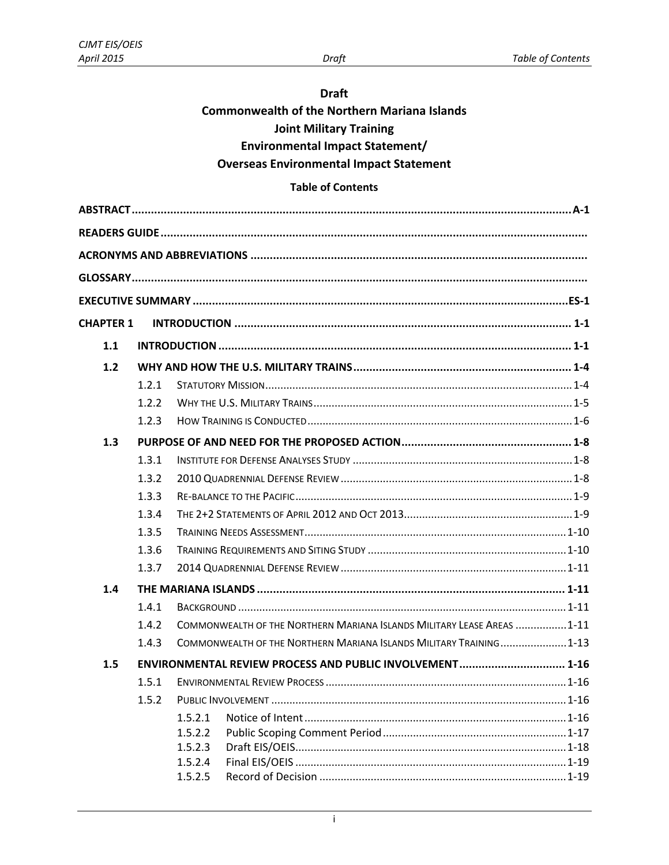### **Draft**

# **Commonwealth of the Northern Mariana Islands Joint Military Training** Environmental Impact Statement/ **Overseas Environmental Impact Statement**

### **Table of Contents**

| <b>CHAPTER 1</b> |       |                                                                         |
|------------------|-------|-------------------------------------------------------------------------|
| 1.1              |       |                                                                         |
| 1.2              |       |                                                                         |
|                  | 1.2.1 |                                                                         |
|                  | 1.2.2 |                                                                         |
|                  | 1.2.3 |                                                                         |
| 1.3              |       |                                                                         |
|                  | 1.3.1 |                                                                         |
|                  | 1.3.2 |                                                                         |
|                  | 1.3.3 |                                                                         |
|                  | 1.3.4 |                                                                         |
|                  | 1.3.5 |                                                                         |
|                  | 1.3.6 |                                                                         |
|                  | 1.3.7 |                                                                         |
| 1.4              |       |                                                                         |
|                  | 1.4.1 |                                                                         |
|                  | 1.4.2 | COMMONWEALTH OF THE NORTHERN MARIANA ISLANDS MILITARY LEASE AREAS  1-11 |
|                  | 1.4.3 | COMMONWEALTH OF THE NORTHERN MARIANA ISLANDS MILITARY TRAINING1-13      |
| 1.5              |       | ENVIRONMENTAL REVIEW PROCESS AND PUBLIC INVOLVEMENT 1-16                |
|                  | 1.5.1 |                                                                         |
|                  | 1.5.2 |                                                                         |
|                  |       | 1.5.2.1                                                                 |
|                  |       | 1.5.2.2                                                                 |
|                  |       | 1.5.2.3                                                                 |
|                  |       | 1.5.2.4<br>1.5.2.5                                                      |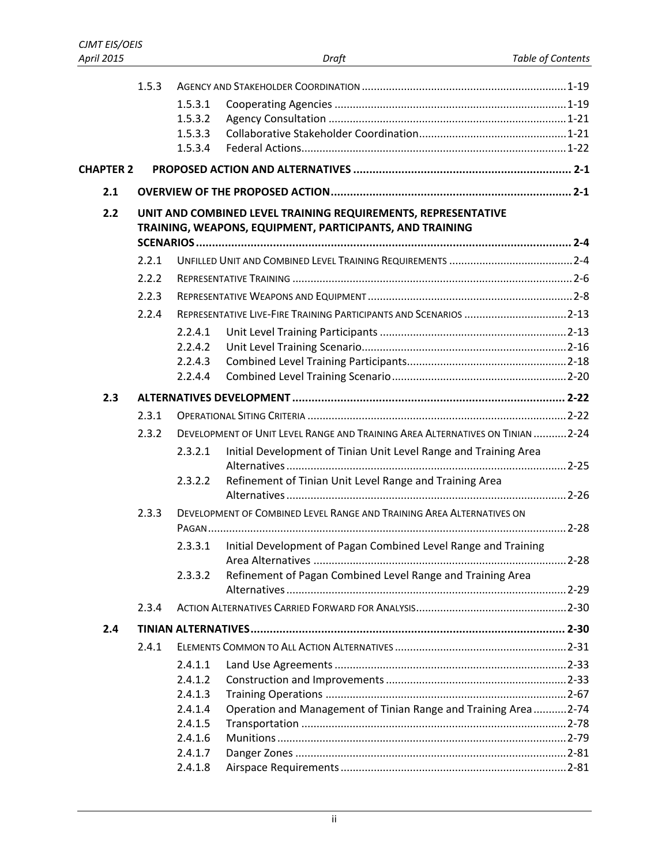|                  | 1.5.3 |         |                                                                               |  |
|------------------|-------|---------|-------------------------------------------------------------------------------|--|
|                  |       | 1.5.3.1 |                                                                               |  |
|                  |       | 1.5.3.2 |                                                                               |  |
|                  |       | 1.5.3.3 |                                                                               |  |
|                  |       | 1.5.3.4 |                                                                               |  |
| <b>CHAPTER 2</b> |       |         |                                                                               |  |
| 2.1              |       |         |                                                                               |  |
| 2.2              |       |         | UNIT AND COMBINED LEVEL TRAINING REQUIREMENTS, REPRESENTATIVE                 |  |
|                  |       |         | TRAINING, WEAPONS, EQUIPMENT, PARTICIPANTS, AND TRAINING                      |  |
|                  |       |         |                                                                               |  |
|                  | 2.2.1 |         |                                                                               |  |
|                  | 2.2.2 |         |                                                                               |  |
|                  | 2.2.3 |         |                                                                               |  |
|                  | 2.2.4 |         | REPRESENTATIVE LIVE-FIRE TRAINING PARTICIPANTS AND SCENARIOS 2-13             |  |
|                  |       | 2.2.4.1 |                                                                               |  |
|                  |       | 2.2.4.2 |                                                                               |  |
|                  |       | 2.2.4.3 |                                                                               |  |
|                  |       | 2.2.4.4 |                                                                               |  |
| 2.3              |       |         |                                                                               |  |
|                  | 2.3.1 |         |                                                                               |  |
|                  | 2.3.2 |         | DEVELOPMENT OF UNIT LEVEL RANGE AND TRAINING AREA ALTERNATIVES ON TINIAN 2-24 |  |
|                  |       | 2.3.2.1 | Initial Development of Tinian Unit Level Range and Training Area              |  |
|                  |       |         |                                                                               |  |
|                  |       | 2.3.2.2 | Refinement of Tinian Unit Level Range and Training Area                       |  |
|                  |       |         |                                                                               |  |
|                  | 2.3.3 |         | DEVELOPMENT OF COMBINED LEVEL RANGE AND TRAINING AREA ALTERNATIVES ON         |  |
|                  |       |         |                                                                               |  |
|                  |       | 2.3.3.1 | Initial Development of Pagan Combined Level Range and Training                |  |
|                  |       | 2.3.3.2 | Refinement of Pagan Combined Level Range and Training Area                    |  |
|                  |       |         |                                                                               |  |
|                  | 2.3.4 |         |                                                                               |  |
| 2.4              |       |         |                                                                               |  |
|                  | 2.4.1 |         |                                                                               |  |
|                  |       | 2.4.1.1 |                                                                               |  |
|                  |       | 2.4.1.2 |                                                                               |  |
|                  |       | 2.4.1.3 |                                                                               |  |
|                  |       | 2.4.1.4 | Operation and Management of Tinian Range and Training Area 2-74               |  |
|                  |       | 2.4.1.5 |                                                                               |  |
|                  |       | 2.4.1.6 |                                                                               |  |
|                  |       | 2.4.1.7 |                                                                               |  |
|                  |       | 2.4.1.8 |                                                                               |  |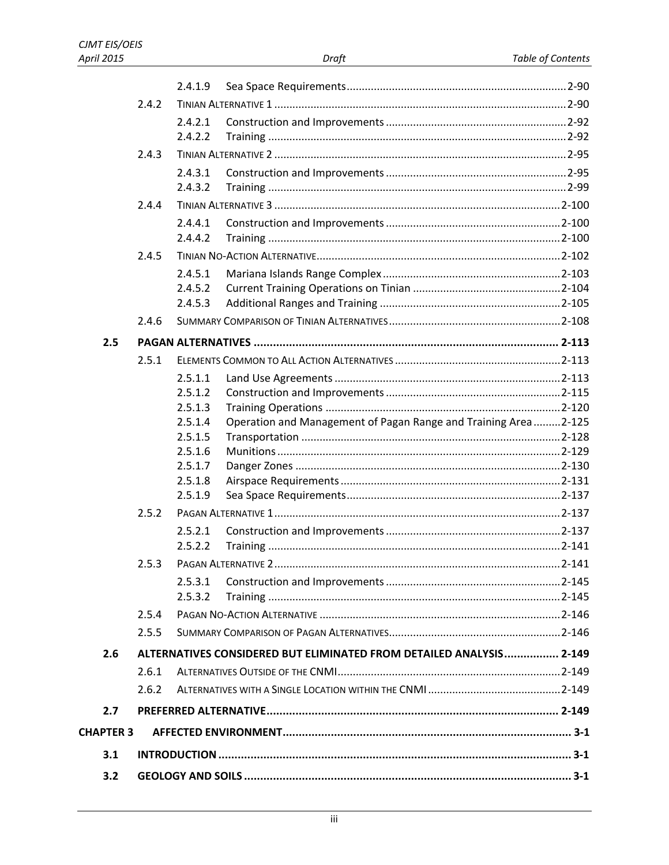|                  |       | 2.4.1.9            |                                                                     |         |
|------------------|-------|--------------------|---------------------------------------------------------------------|---------|
|                  | 2.4.2 |                    |                                                                     |         |
|                  |       | 2.4.2.1            |                                                                     |         |
|                  |       | 2.4.2.2            |                                                                     |         |
|                  | 2.4.3 |                    |                                                                     |         |
|                  |       | 2.4.3.1            |                                                                     |         |
|                  |       | 2.4.3.2            |                                                                     |         |
|                  | 2.4.4 |                    |                                                                     |         |
|                  |       | 2.4.4.1            |                                                                     |         |
|                  |       | 2.4.4.2            |                                                                     |         |
|                  | 2.4.5 |                    |                                                                     |         |
|                  |       | 2.4.5.1            |                                                                     |         |
|                  |       | 2.4.5.2            |                                                                     |         |
|                  |       | 2.4.5.3            |                                                                     |         |
|                  | 2.4.6 |                    |                                                                     |         |
| 2.5              |       |                    |                                                                     |         |
|                  | 2.5.1 |                    |                                                                     |         |
|                  |       | 2.5.1.1            |                                                                     |         |
|                  |       | 2.5.1.2            |                                                                     |         |
|                  |       | 2.5.1.3<br>2.5.1.4 |                                                                     |         |
|                  |       | 2.5.1.5            | Operation and Management of Pagan Range and Training Area2-125      |         |
|                  |       | 2.5.1.6            |                                                                     |         |
|                  |       | 2.5.1.7            |                                                                     |         |
|                  |       | 2.5.1.8            |                                                                     |         |
|                  |       | 2.5.1.9            |                                                                     |         |
|                  | 2.5.2 |                    |                                                                     |         |
|                  |       | 2.5.2.1            |                                                                     |         |
|                  |       | 2.5.2.2            |                                                                     |         |
|                  | 2.5.3 |                    | PAGAN ALTERNATIVE 2                                                 | . 2-141 |
|                  |       | 2.5.3.1            |                                                                     |         |
|                  |       | 2.5.3.2            |                                                                     |         |
|                  | 2.5.4 |                    |                                                                     |         |
|                  | 2.5.5 |                    |                                                                     |         |
| 2.6              |       |                    | ALTERNATIVES CONSIDERED BUT ELIMINATED FROM DETAILED ANALYSIS 2-149 |         |
|                  | 2.6.1 |                    |                                                                     |         |
|                  | 2.6.2 |                    |                                                                     |         |
| 2.7              |       |                    |                                                                     |         |
| <b>CHAPTER 3</b> |       |                    |                                                                     |         |
| 3.1              |       |                    |                                                                     |         |
| 3.2              |       |                    |                                                                     |         |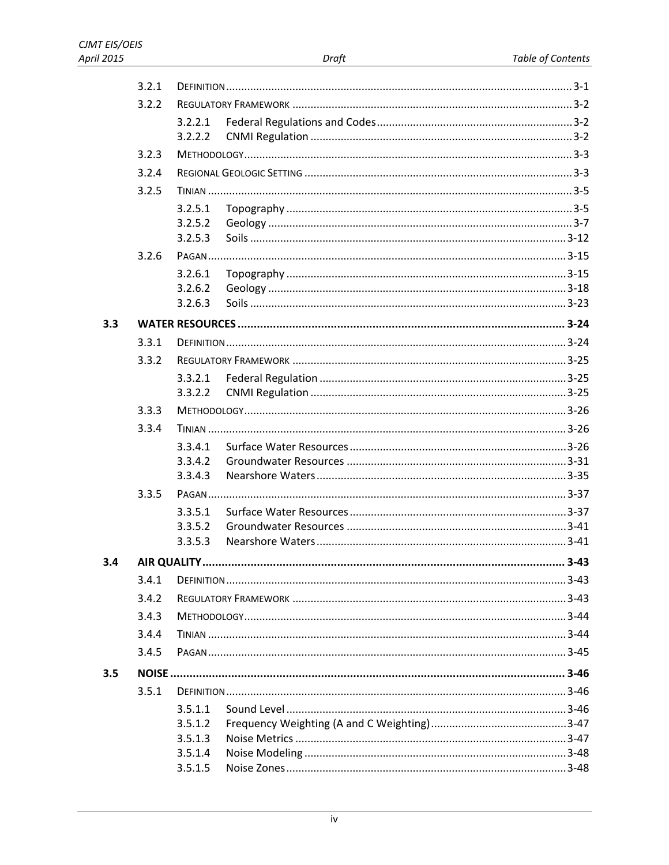|     | 3.2.1 |                    |  |
|-----|-------|--------------------|--|
|     | 3.2.2 |                    |  |
|     |       | 3.2.2.1<br>3.2.2.2 |  |
|     | 3.2.3 |                    |  |
|     | 3.2.4 |                    |  |
|     | 3.2.5 |                    |  |
|     |       | 3.2.5.1            |  |
|     |       | 3.2.5.2            |  |
|     |       | 3.2.5.3            |  |
|     | 3.2.6 |                    |  |
|     |       | 3.2.6.1            |  |
|     |       | 3.2.6.2            |  |
|     |       | 3.2.6.3            |  |
| 3.3 |       |                    |  |
|     | 3.3.1 |                    |  |
|     | 3.3.2 |                    |  |
|     |       | 3.3.2.1            |  |
|     |       | 3.3.2.2            |  |
|     | 3.3.3 |                    |  |
|     | 3.3.4 |                    |  |
|     |       | 3.3.4.1            |  |
|     |       | 3.3.4.2            |  |
|     |       | 3.3.4.3            |  |
|     | 3.3.5 |                    |  |
|     |       | 3.3.5.1            |  |
|     |       | 3.3.5.2            |  |
|     |       | 3.3.5.3            |  |
| 3.4 |       |                    |  |
|     | 3.4.1 |                    |  |
|     | 3.4.2 |                    |  |
|     | 3.4.3 |                    |  |
|     | 3.4.4 |                    |  |
|     | 3.4.5 |                    |  |
| 3.5 |       |                    |  |
|     | 3.5.1 |                    |  |
|     |       | 3.5.1.1            |  |
|     |       | 3.5.1.2            |  |
|     |       | 3.5.1.3            |  |
|     |       | 3.5.1.4            |  |
|     |       | 3.5.1.5            |  |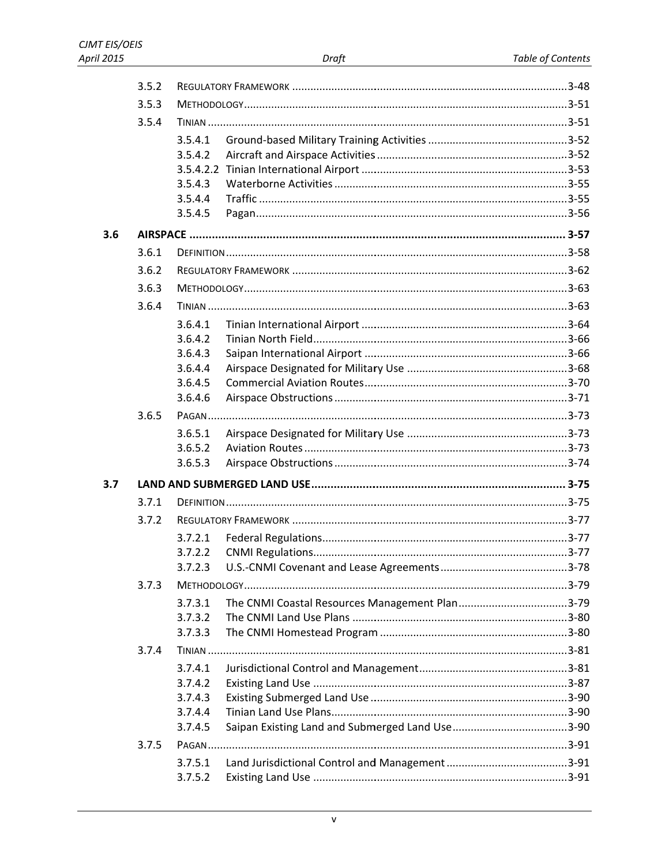|     | 3.5.2 |         |  |
|-----|-------|---------|--|
|     | 3.5.3 |         |  |
|     | 3.5.4 |         |  |
|     |       | 3.5.4.1 |  |
|     |       | 3.5.4.2 |  |
|     |       |         |  |
|     |       | 3.5.4.3 |  |
|     |       | 3.5.4.4 |  |
|     |       | 3.5.4.5 |  |
| 3.6 |       |         |  |
|     | 3.6.1 |         |  |
|     | 3.6.2 |         |  |
|     | 3.6.3 |         |  |
|     | 3.6.4 |         |  |
|     |       | 3.6.4.1 |  |
|     |       | 3.6.4.2 |  |
|     |       | 3.6.4.3 |  |
|     |       | 3.6.4.4 |  |
|     |       | 3.6.4.5 |  |
|     |       | 3.6.4.6 |  |
|     | 3.6.5 |         |  |
|     |       | 3.6.5.1 |  |
|     |       | 3.6.5.2 |  |
|     |       | 3.6.5.3 |  |
| 3.7 |       |         |  |
|     | 3.7.1 |         |  |
|     | 3.7.2 |         |  |
|     |       | 3.7.2.1 |  |
|     |       | 3.7.2.2 |  |
|     |       | 3.7.2.3 |  |
|     | 3.7.3 |         |  |
|     |       | 3.7.3.1 |  |
|     |       | 3.7.3.2 |  |
|     |       | 3.7.3.3 |  |
|     | 3.7.4 |         |  |
|     |       | 3.7.4.1 |  |
|     |       | 3.7.4.2 |  |
|     |       | 3.7.4.3 |  |
|     |       | 3.7.4.4 |  |
|     |       | 3.7.4.5 |  |
|     | 3.7.5 |         |  |
|     |       | 3.7.5.1 |  |
|     |       | 3.7.5.2 |  |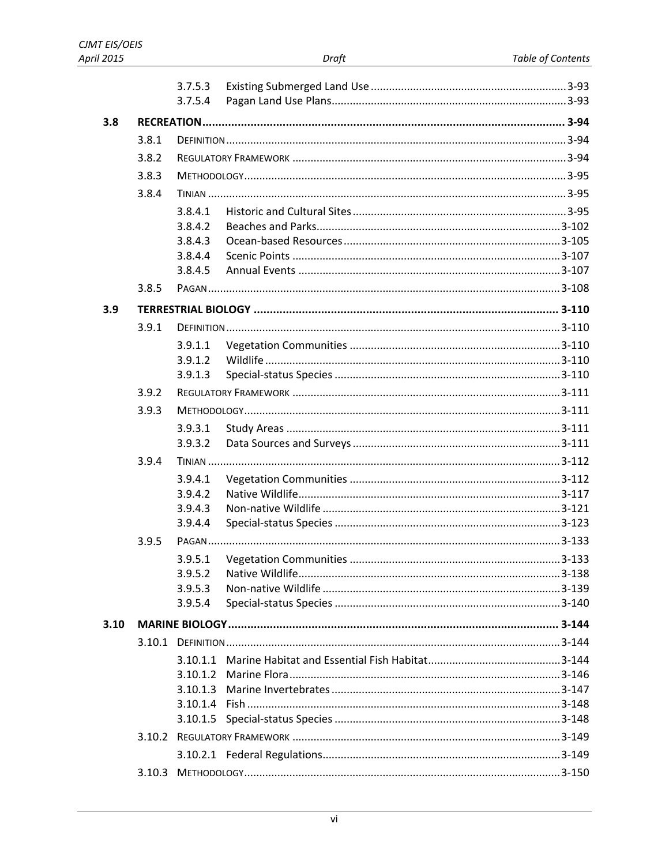|      |       | 3.7.5.3  |  |
|------|-------|----------|--|
|      |       | 3.7.5.4  |  |
| 3.8  |       |          |  |
|      | 3.8.1 |          |  |
|      | 3.8.2 |          |  |
|      | 3.8.3 |          |  |
|      | 3.8.4 |          |  |
|      |       | 3.8.4.1  |  |
|      |       | 3.8.4.2  |  |
|      |       | 3.8.4.3  |  |
|      |       | 3.8.4.4  |  |
|      |       | 3.8.4.5  |  |
|      | 3.8.5 |          |  |
| 3.9  |       |          |  |
|      | 3.9.1 |          |  |
|      |       | 3.9.1.1  |  |
|      |       | 3.9.1.2  |  |
|      |       | 3.9.1.3  |  |
|      | 3.9.2 |          |  |
|      | 3.9.3 |          |  |
|      |       | 3.9.3.1  |  |
|      |       | 3.9.3.2  |  |
|      | 3.9.4 |          |  |
|      |       | 3.9.4.1  |  |
|      |       | 3.9.4.2  |  |
|      |       | 3.9.4.3  |  |
|      |       | 3.9.4.4  |  |
|      | 3.9.5 |          |  |
|      |       | 3.9.5.1  |  |
|      |       | 3.9.5.2  |  |
|      |       | 3.9.5.3  |  |
|      |       | 3.9.5.4  |  |
| 3.10 |       |          |  |
|      |       |          |  |
|      |       | 3.10.1.1 |  |
|      |       | 3.10.1.2 |  |
|      |       | 3.10.1.3 |  |
|      |       |          |  |
|      |       |          |  |
|      |       |          |  |
|      |       |          |  |
|      |       |          |  |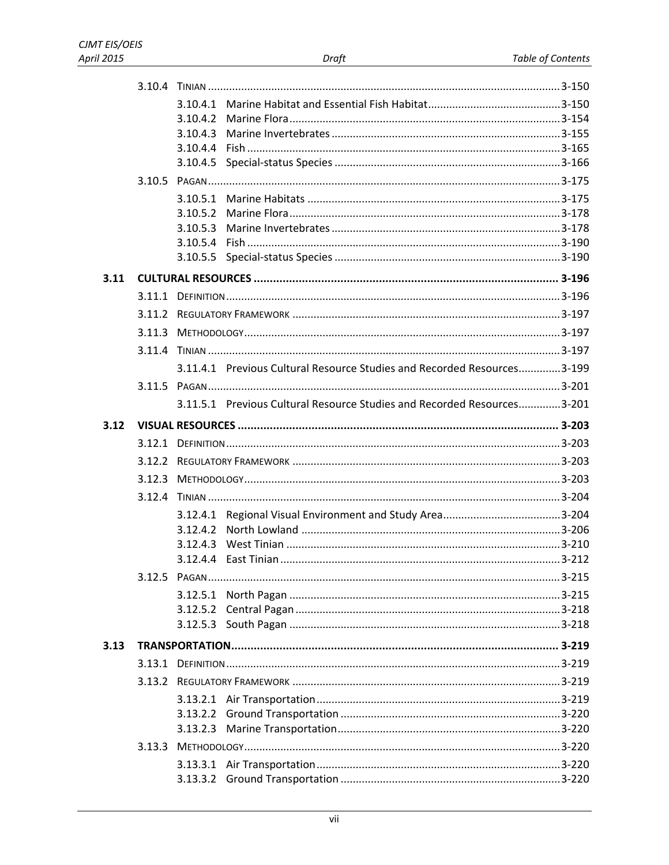|      | 3.10.4.2 |                                                                         |  |
|------|----------|-------------------------------------------------------------------------|--|
|      | 3.10.4.3 |                                                                         |  |
|      |          |                                                                         |  |
|      |          |                                                                         |  |
|      |          |                                                                         |  |
|      | 3.10.5.1 |                                                                         |  |
|      | 3.10.5.2 |                                                                         |  |
|      | 3.10.5.3 |                                                                         |  |
|      | 3.10.5.4 |                                                                         |  |
|      |          |                                                                         |  |
| 3.11 |          |                                                                         |  |
|      |          |                                                                         |  |
|      |          |                                                                         |  |
|      |          |                                                                         |  |
|      |          |                                                                         |  |
|      |          | 3.11.4.1 Previous Cultural Resource Studies and Recorded Resources3-199 |  |
|      |          |                                                                         |  |
|      |          | 3.11.5.1 Previous Cultural Resource Studies and Recorded Resources3-201 |  |
| 3.12 |          |                                                                         |  |
|      |          |                                                                         |  |
|      |          |                                                                         |  |
|      |          |                                                                         |  |
|      |          |                                                                         |  |
|      |          |                                                                         |  |
|      |          |                                                                         |  |
|      |          |                                                                         |  |
|      | 3.12.4.2 |                                                                         |  |
|      | 3.12.4.3 |                                                                         |  |
|      |          |                                                                         |  |
|      |          |                                                                         |  |
|      |          |                                                                         |  |
|      |          |                                                                         |  |
|      |          |                                                                         |  |
| 3.13 |          |                                                                         |  |
|      |          |                                                                         |  |
|      |          |                                                                         |  |
|      |          |                                                                         |  |
|      |          |                                                                         |  |
|      | 3.13.2.3 |                                                                         |  |
|      |          |                                                                         |  |
|      |          |                                                                         |  |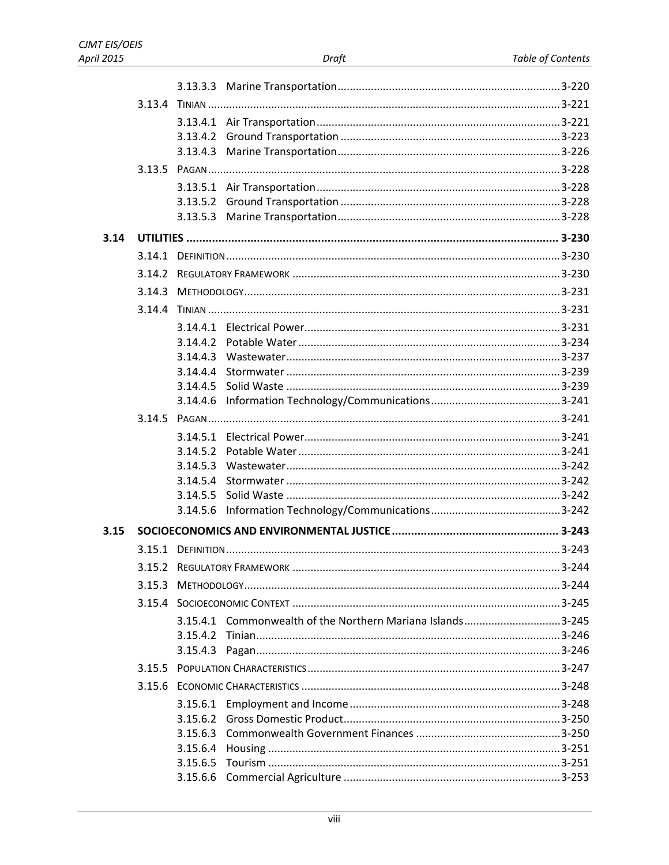|      | 3.13.4 |          |                                                            |  |
|------|--------|----------|------------------------------------------------------------|--|
|      |        |          |                                                            |  |
|      |        | 3.13.4.2 |                                                            |  |
|      |        |          |                                                            |  |
|      | 3.13.5 |          |                                                            |  |
|      |        |          |                                                            |  |
|      |        |          |                                                            |  |
|      |        |          |                                                            |  |
| 3.14 |        |          |                                                            |  |
|      |        |          |                                                            |  |
|      |        |          |                                                            |  |
|      |        |          |                                                            |  |
|      |        |          |                                                            |  |
|      |        |          |                                                            |  |
|      |        |          |                                                            |  |
|      |        | 3.14.4.3 |                                                            |  |
|      |        |          |                                                            |  |
|      |        |          |                                                            |  |
|      |        |          |                                                            |  |
|      | 3.14.5 |          |                                                            |  |
|      |        |          |                                                            |  |
|      |        | 3.14.5.2 |                                                            |  |
|      |        |          |                                                            |  |
|      |        |          |                                                            |  |
|      |        |          |                                                            |  |
|      |        |          |                                                            |  |
| 3.15 |        |          |                                                            |  |
|      |        |          |                                                            |  |
|      |        |          |                                                            |  |
|      | 3.15.3 |          |                                                            |  |
|      |        |          |                                                            |  |
|      |        |          | 3.15.4.1 Commonwealth of the Northern Mariana Islands3-245 |  |
|      |        |          |                                                            |  |
|      |        |          |                                                            |  |
|      | 3.15.5 |          |                                                            |  |
|      |        |          |                                                            |  |
|      |        |          |                                                            |  |
|      |        |          |                                                            |  |
|      |        |          |                                                            |  |
|      |        |          |                                                            |  |
|      |        |          |                                                            |  |
|      |        |          |                                                            |  |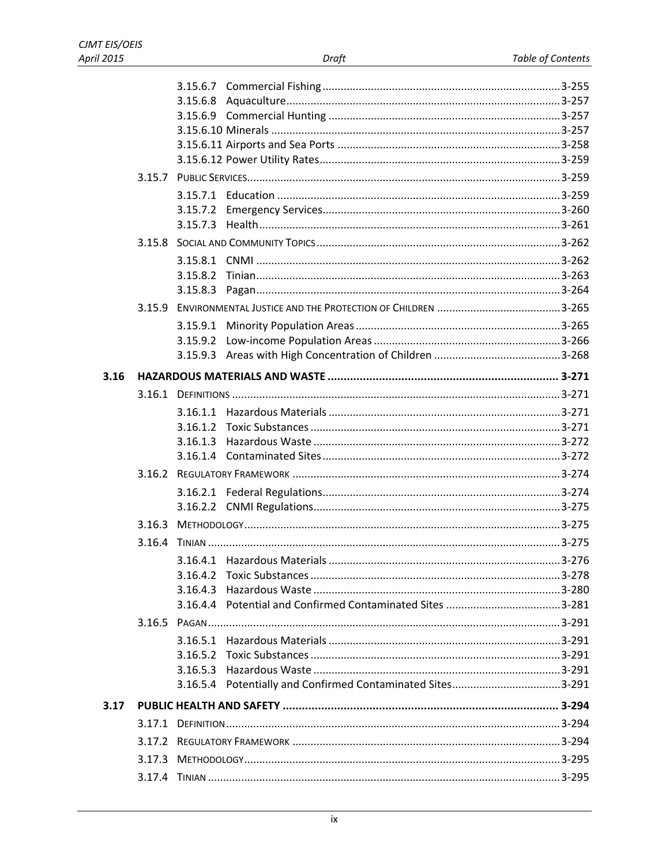| 3.16 |        |                                                            |  |
|------|--------|------------------------------------------------------------|--|
|      |        |                                                            |  |
|      |        |                                                            |  |
|      |        |                                                            |  |
|      |        |                                                            |  |
|      |        |                                                            |  |
|      |        |                                                            |  |
|      |        |                                                            |  |
|      |        |                                                            |  |
|      |        |                                                            |  |
|      | 3.16.4 |                                                            |  |
|      |        |                                                            |  |
|      |        |                                                            |  |
|      |        |                                                            |  |
|      |        |                                                            |  |
|      |        |                                                            |  |
|      |        |                                                            |  |
|      |        |                                                            |  |
|      |        |                                                            |  |
|      |        | 3.16.5.4 Potentially and Confirmed Contaminated Sites3-291 |  |
| 3.17 |        |                                                            |  |
|      |        |                                                            |  |
|      |        |                                                            |  |
|      | 3.17.3 |                                                            |  |
|      |        |                                                            |  |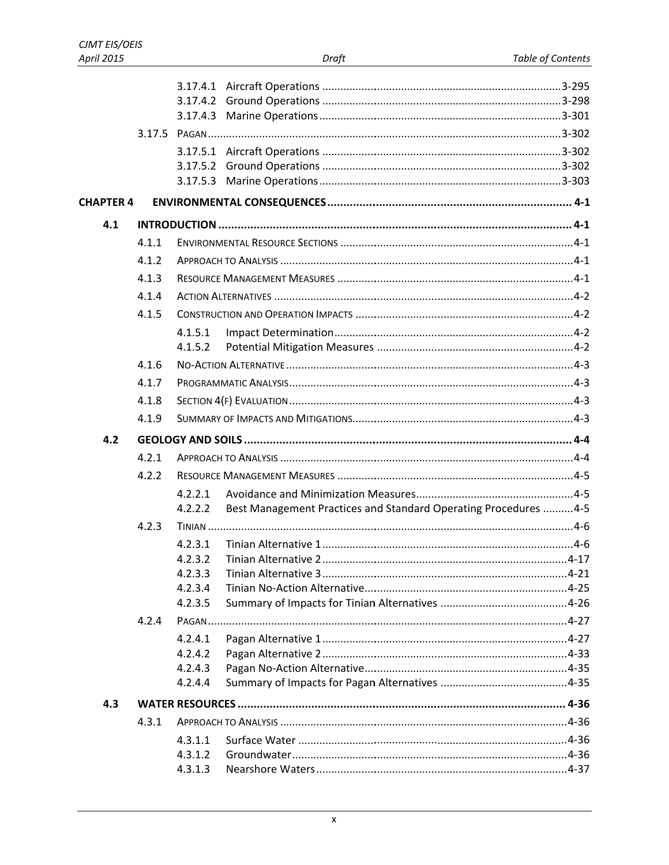|                  |       | 3.17.4.2 |                                                                  |  |
|------------------|-------|----------|------------------------------------------------------------------|--|
|                  |       | 3.17.4.3 |                                                                  |  |
|                  |       |          |                                                                  |  |
|                  |       |          |                                                                  |  |
|                  |       | 3.17.5.2 |                                                                  |  |
|                  |       | 3.17.5.3 |                                                                  |  |
| <b>CHAPTER 4</b> |       |          |                                                                  |  |
| 4.1              |       |          |                                                                  |  |
|                  | 4.1.1 |          |                                                                  |  |
|                  | 4.1.2 |          |                                                                  |  |
|                  | 4.1.3 |          |                                                                  |  |
|                  | 4.1.4 |          |                                                                  |  |
|                  | 4.1.5 |          |                                                                  |  |
|                  |       | 4.1.5.1  |                                                                  |  |
|                  |       | 4.1.5.2  |                                                                  |  |
|                  | 4.1.6 |          |                                                                  |  |
|                  | 4.1.7 |          |                                                                  |  |
|                  | 4.1.8 |          |                                                                  |  |
|                  | 4.1.9 |          |                                                                  |  |
|                  |       |          |                                                                  |  |
| 4.2              |       |          |                                                                  |  |
|                  | 4.2.1 |          |                                                                  |  |
|                  | 4.2.2 |          |                                                                  |  |
|                  |       | 4.2.2.1  |                                                                  |  |
|                  |       | 4.2.2.2  | Best Management Practices and Standard Operating Procedures  4-5 |  |
|                  | 4.2.3 |          |                                                                  |  |
|                  |       | 4.2.3.1  |                                                                  |  |
|                  |       | 4.2.3.2  |                                                                  |  |
|                  |       | 4.2.3.3  |                                                                  |  |
|                  |       | 4.2.3.4  |                                                                  |  |
|                  |       | 4.2.3.5  |                                                                  |  |
|                  | 4.2.4 |          |                                                                  |  |
|                  |       | 4.2.4.1  |                                                                  |  |
|                  |       | 4.2.4.2  |                                                                  |  |
|                  |       | 4.2.4.3  |                                                                  |  |
|                  |       | 4.2.4.4  |                                                                  |  |
| 4.3              |       |          |                                                                  |  |
|                  | 4.3.1 |          |                                                                  |  |
|                  |       | 4.3.1.1  |                                                                  |  |
|                  |       | 4.3.1.2  |                                                                  |  |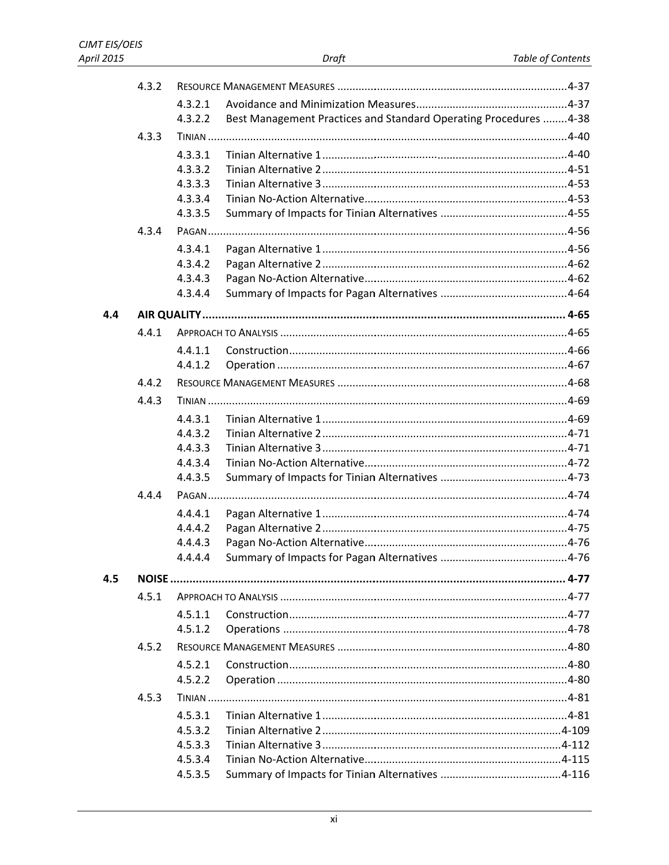|     | 4.3.2 |         |                                                                   |  |
|-----|-------|---------|-------------------------------------------------------------------|--|
|     |       | 4.3.2.1 |                                                                   |  |
|     |       | 4.3.2.2 | Best Management Practices and Standard Operating Procedures  4-38 |  |
|     | 4.3.3 |         |                                                                   |  |
|     |       | 4.3.3.1 |                                                                   |  |
|     |       | 4.3.3.2 |                                                                   |  |
|     |       | 4.3.3.3 |                                                                   |  |
|     |       | 4.3.3.4 |                                                                   |  |
|     |       | 4.3.3.5 |                                                                   |  |
|     | 4.3.4 |         |                                                                   |  |
|     |       | 4.3.4.1 |                                                                   |  |
|     |       | 4.3.4.2 |                                                                   |  |
|     |       | 4.3.4.3 |                                                                   |  |
|     |       | 4.3.4.4 |                                                                   |  |
| 4.4 |       |         |                                                                   |  |
|     | 4.4.1 |         |                                                                   |  |
|     |       | 4.4.1.1 |                                                                   |  |
|     |       | 4.4.1.2 |                                                                   |  |
|     | 4.4.2 |         |                                                                   |  |
|     | 4.4.3 |         |                                                                   |  |
|     |       | 4.4.3.1 |                                                                   |  |
|     |       | 4.4.3.2 |                                                                   |  |
|     |       | 4.4.3.3 |                                                                   |  |
|     |       | 4.4.3.4 |                                                                   |  |
|     |       | 4.4.3.5 |                                                                   |  |
|     | 4.4.4 |         |                                                                   |  |
|     |       | 4.4.4.1 |                                                                   |  |
|     |       | 4.4.4.2 |                                                                   |  |
|     |       | 4.4.4.3 |                                                                   |  |
|     |       | 4.4.4.4 |                                                                   |  |
| 4.5 |       |         |                                                                   |  |
|     | 4.5.1 |         |                                                                   |  |
|     |       | 4.5.1.1 |                                                                   |  |
|     |       | 4.5.1.2 |                                                                   |  |
|     | 4.5.2 |         |                                                                   |  |
|     |       | 4.5.2.1 |                                                                   |  |
|     |       | 4.5.2.2 |                                                                   |  |
|     | 4.5.3 |         |                                                                   |  |
|     |       | 4.5.3.1 |                                                                   |  |
|     |       | 4.5.3.2 |                                                                   |  |
|     |       | 4.5.3.3 |                                                                   |  |
|     |       | 4.5.3.4 |                                                                   |  |
|     |       | 4.5.3.5 |                                                                   |  |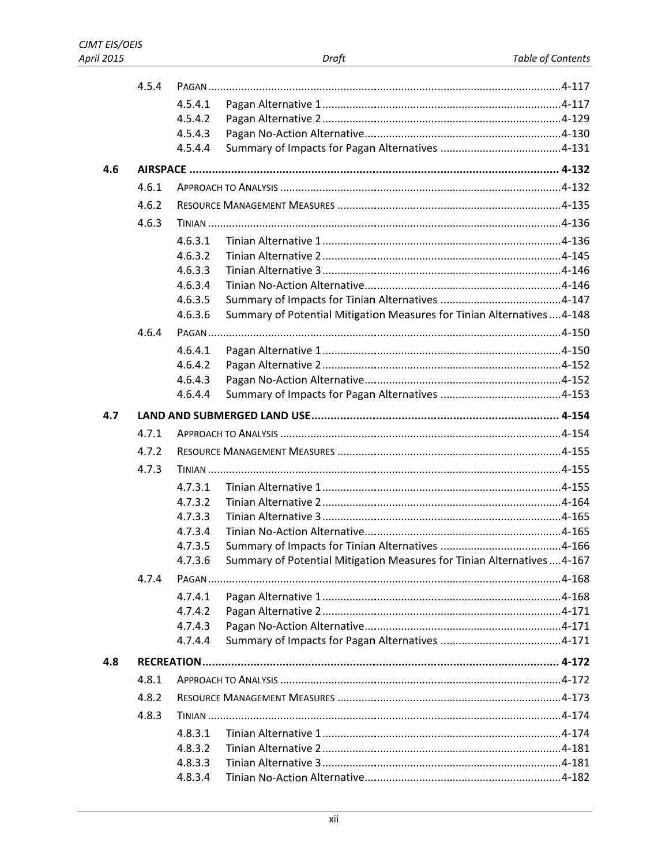|     | 4.5.4 |         |                                                                         |  |
|-----|-------|---------|-------------------------------------------------------------------------|--|
|     |       | 4.5.4.1 |                                                                         |  |
|     |       | 4.5.4.2 |                                                                         |  |
|     |       | 4.5.4.3 |                                                                         |  |
|     |       | 4.5.4.4 |                                                                         |  |
| 4.6 |       |         |                                                                         |  |
|     | 4.6.1 |         |                                                                         |  |
|     | 4.6.2 |         |                                                                         |  |
|     | 4.6.3 |         |                                                                         |  |
|     |       | 4.6.3.1 |                                                                         |  |
|     |       | 4.6.3.2 |                                                                         |  |
|     |       | 4.6.3.3 |                                                                         |  |
|     |       | 4.6.3.4 |                                                                         |  |
|     |       | 4.6.3.5 |                                                                         |  |
|     |       | 4.6.3.6 | Summary of Potential Mitigation Measures for Tinian Alternatives  4-148 |  |
|     | 4.6.4 |         |                                                                         |  |
|     |       | 4.6.4.1 |                                                                         |  |
|     |       | 4.6.4.2 |                                                                         |  |
|     |       | 4.6.4.3 |                                                                         |  |
|     |       | 4.6.4.4 |                                                                         |  |
| 4.7 |       |         |                                                                         |  |
|     | 4.7.1 |         |                                                                         |  |
|     | 4.7.2 |         |                                                                         |  |
|     | 4.7.3 |         |                                                                         |  |
|     |       | 4.7.3.1 |                                                                         |  |
|     |       | 4.7.3.2 |                                                                         |  |
|     |       | 4.7.3.3 |                                                                         |  |
|     |       |         |                                                                         |  |
|     |       | 4.7.3.4 |                                                                         |  |
|     |       | 4.7.3.5 |                                                                         |  |
|     |       | 4.7.3.6 | Summary of Potential Mitigation Measures for Tinian Alternatives  4-167 |  |
|     | 4.7.4 |         |                                                                         |  |
|     |       | 4.7.4.1 |                                                                         |  |
|     |       | 4.7.4.2 |                                                                         |  |
|     |       | 4.7.4.3 |                                                                         |  |
|     |       | 4.7.4.4 |                                                                         |  |
| 4.8 |       |         |                                                                         |  |
|     | 4.8.1 |         |                                                                         |  |
|     | 4.8.2 |         |                                                                         |  |
|     | 4.8.3 |         |                                                                         |  |
|     |       | 4.8.3.1 |                                                                         |  |
|     |       | 4.8.3.2 |                                                                         |  |
|     |       | 4.8.3.3 |                                                                         |  |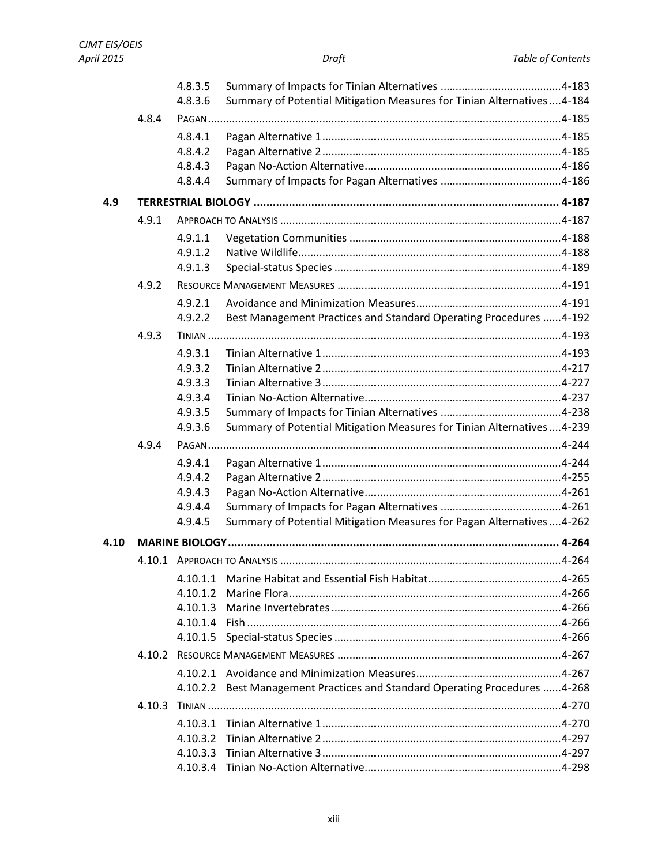|      |        | 4.8.3.5<br>4.8.3.6                           | Summary of Potential Mitigation Measures for Tinian Alternatives  4-184     |
|------|--------|----------------------------------------------|-----------------------------------------------------------------------------|
|      | 4.8.4  |                                              |                                                                             |
|      |        | 4.8.4.1<br>4.8.4.2<br>4.8.4.3<br>4.8.4.4     |                                                                             |
| 4.9  |        |                                              |                                                                             |
|      | 4.9.1  |                                              |                                                                             |
|      |        | 4.9.1.1<br>4.9.1.2<br>4.9.1.3                |                                                                             |
|      | 4.9.2  |                                              |                                                                             |
|      |        | 4.9.2.1<br>4.9.2.2                           | Best Management Practices and Standard Operating Procedures  4-192          |
|      | 4.9.3  |                                              |                                                                             |
|      |        | 4.9.3.1<br>4.9.3.2<br>4.9.3.3                |                                                                             |
|      |        | 4.9.3.4                                      |                                                                             |
|      |        | 4.9.3.5                                      |                                                                             |
|      |        | 4.9.3.6                                      | Summary of Potential Mitigation Measures for Tinian Alternatives  4-239     |
|      | 4.9.4  |                                              |                                                                             |
|      |        | 4.9.4.1<br>4.9.4.2                           |                                                                             |
|      |        | 4.9.4.3                                      |                                                                             |
|      |        | 4.9.4.4                                      |                                                                             |
|      |        | 4.9.4.5                                      | Summary of Potential Mitigation Measures for Pagan Alternatives  4-262      |
| 4.10 |        |                                              |                                                                             |
|      |        |                                              |                                                                             |
|      |        | 4.10.1.1<br>4.10.1.2<br>4.10.1.3<br>4.10.1.4 |                                                                             |
|      |        |                                              |                                                                             |
|      |        |                                              | 4.10.2.2 Best Management Practices and Standard Operating Procedures  4-268 |
|      | 4.10.3 |                                              |                                                                             |
|      |        |                                              |                                                                             |
|      |        |                                              |                                                                             |
|      |        |                                              |                                                                             |
|      |        |                                              |                                                                             |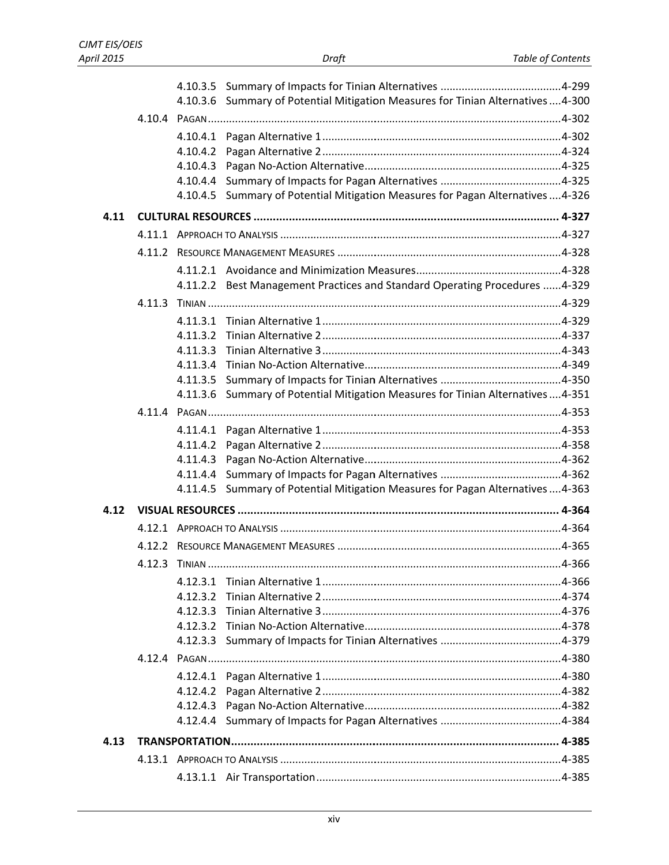|      |        |          | 4.10.3.6 Summary of Potential Mitigation Measures for Tinian Alternatives  4-300 |  |
|------|--------|----------|----------------------------------------------------------------------------------|--|
|      |        |          |                                                                                  |  |
|      |        |          |                                                                                  |  |
|      |        | 4.10.4.2 |                                                                                  |  |
|      |        | 4.10.4.3 |                                                                                  |  |
|      |        | 4.10.4.4 |                                                                                  |  |
|      |        |          | 4.10.4.5 Summary of Potential Mitigation Measures for Pagan Alternatives  4-326  |  |
| 4.11 |        |          |                                                                                  |  |
|      |        |          |                                                                                  |  |
|      |        |          |                                                                                  |  |
|      |        |          |                                                                                  |  |
|      |        |          | 4.11.2.2 Best Management Practices and Standard Operating Procedures  4-329      |  |
|      | 4.11.3 |          |                                                                                  |  |
|      |        |          |                                                                                  |  |
|      |        | 4.11.3.2 |                                                                                  |  |
|      |        | 4.11.3.3 |                                                                                  |  |
|      |        |          |                                                                                  |  |
|      |        |          |                                                                                  |  |
|      |        |          | 4.11.3.6 Summary of Potential Mitigation Measures for Tinian Alternatives  4-351 |  |
|      |        |          |                                                                                  |  |
|      |        |          |                                                                                  |  |
|      |        |          |                                                                                  |  |
|      |        | 4.11.4.3 |                                                                                  |  |
|      |        | 4.11.4.4 | 4.11.4.5 Summary of Potential Mitigation Measures for Pagan Alternatives  4-363  |  |
|      |        |          |                                                                                  |  |
| 4.12 |        |          |                                                                                  |  |
|      |        |          |                                                                                  |  |
|      |        |          |                                                                                  |  |
|      |        |          |                                                                                  |  |
|      |        |          |                                                                                  |  |
|      |        | 4.12.3.2 |                                                                                  |  |
|      |        | 4.12.3.3 |                                                                                  |  |
|      |        |          |                                                                                  |  |
|      |        |          |                                                                                  |  |
|      |        |          |                                                                                  |  |
|      |        | 4.12.4.1 |                                                                                  |  |
|      |        | 4.12.4.2 |                                                                                  |  |
|      |        | 4.12.4.3 |                                                                                  |  |
|      |        |          |                                                                                  |  |
| 4.13 |        |          |                                                                                  |  |
|      |        |          |                                                                                  |  |
|      |        |          |                                                                                  |  |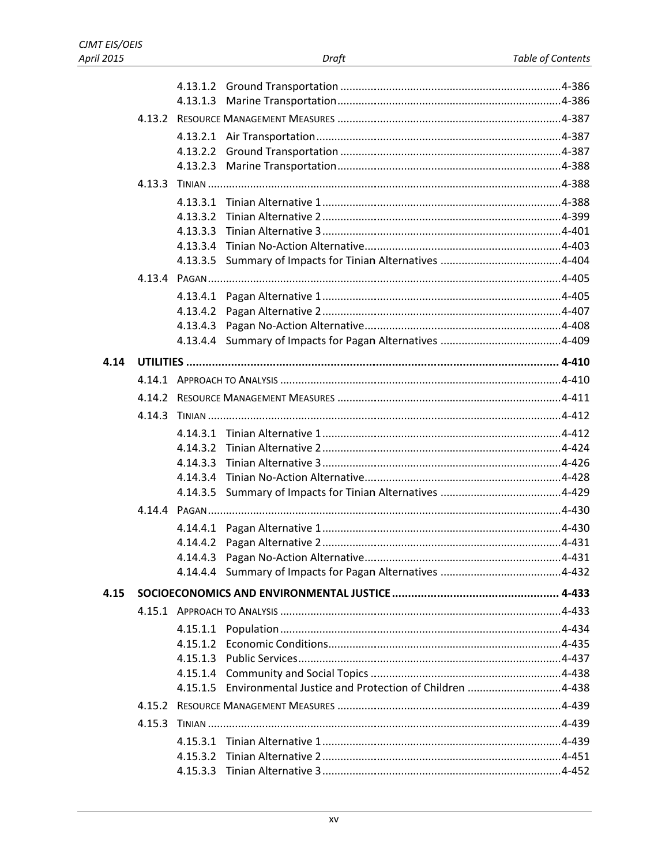|      | 4.13.3 |          |                                                        |  |
|------|--------|----------|--------------------------------------------------------|--|
|      |        |          |                                                        |  |
|      |        | 4.13.3.2 |                                                        |  |
|      |        |          |                                                        |  |
|      |        |          |                                                        |  |
|      |        |          |                                                        |  |
|      |        |          |                                                        |  |
|      |        |          |                                                        |  |
|      |        |          |                                                        |  |
|      |        |          |                                                        |  |
|      |        |          |                                                        |  |
| 4.14 |        |          |                                                        |  |
|      |        |          |                                                        |  |
|      |        |          |                                                        |  |
|      | 4.14.3 |          |                                                        |  |
|      |        |          |                                                        |  |
|      |        | 4.14.3.2 |                                                        |  |
|      |        | 4.14.3.3 |                                                        |  |
|      |        | 4.14.3.4 |                                                        |  |
|      |        |          |                                                        |  |
|      | 4.14.4 |          |                                                        |  |
|      |        |          |                                                        |  |
|      |        | 4.14.4.2 |                                                        |  |
|      |        | 4.14.4.3 |                                                        |  |
|      |        |          |                                                        |  |
| 4.15 |        |          |                                                        |  |
|      |        |          |                                                        |  |
|      |        |          |                                                        |  |
|      |        |          |                                                        |  |
|      |        |          |                                                        |  |
|      |        |          |                                                        |  |
|      |        | 4.15.1.5 | Environmental Justice and Protection of Children 4-438 |  |
|      | 4.15.2 |          |                                                        |  |
|      | 4.15.3 |          |                                                        |  |
|      |        |          |                                                        |  |
|      |        |          |                                                        |  |
|      |        |          |                                                        |  |
|      |        |          |                                                        |  |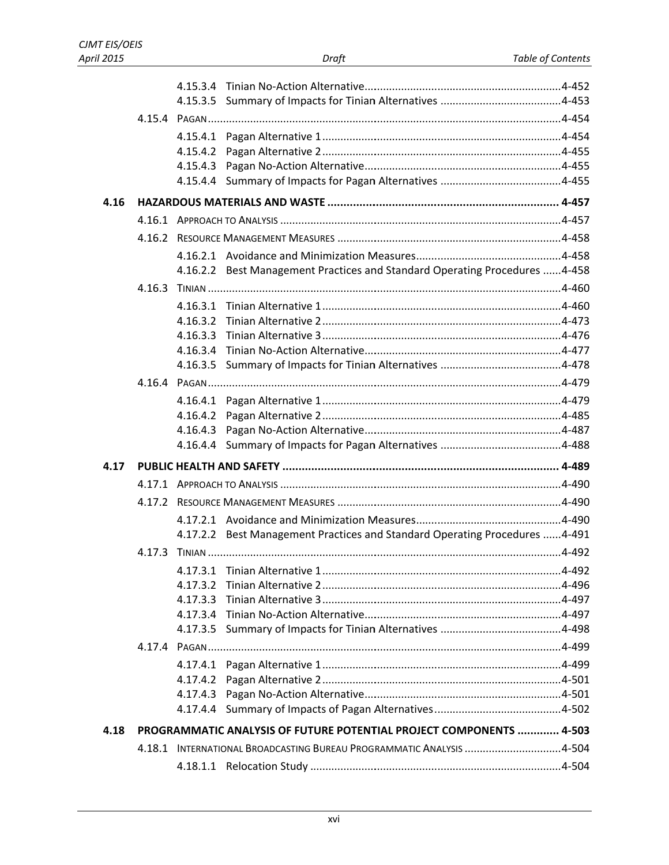|      |        | 4.15.4.2 |                                                                             |  |
|------|--------|----------|-----------------------------------------------------------------------------|--|
|      |        | 4.15.4.3 |                                                                             |  |
|      |        |          |                                                                             |  |
| 4.16 |        |          |                                                                             |  |
|      |        |          |                                                                             |  |
|      |        |          |                                                                             |  |
|      |        |          |                                                                             |  |
|      |        |          | 4.16.2.2 Best Management Practices and Standard Operating Procedures  4-458 |  |
|      | 4.16.3 |          |                                                                             |  |
|      |        |          |                                                                             |  |
|      |        | 4.16.3.2 |                                                                             |  |
|      |        | 4.16.3.3 |                                                                             |  |
|      |        |          |                                                                             |  |
|      |        |          |                                                                             |  |
|      |        |          |                                                                             |  |
|      |        | 4.16.4.1 |                                                                             |  |
|      |        | 4.16.4.2 |                                                                             |  |
|      |        |          |                                                                             |  |
|      |        | 4.16.4.3 |                                                                             |  |
|      |        | 4.16.4.4 |                                                                             |  |
| 4.17 |        |          |                                                                             |  |
|      |        |          |                                                                             |  |
|      |        |          |                                                                             |  |
|      |        |          |                                                                             |  |
|      |        |          | 4.17.2.2 Best Management Practices and Standard Operating Procedures  4-491 |  |
|      |        |          |                                                                             |  |
|      |        |          |                                                                             |  |
|      |        | 4.17.3.2 |                                                                             |  |
|      |        | 4.17.3.3 |                                                                             |  |
|      |        | 4.17.3.4 |                                                                             |  |
|      |        |          |                                                                             |  |
|      |        |          |                                                                             |  |
|      |        |          |                                                                             |  |
|      |        | 4.17.4.2 |                                                                             |  |
|      |        | 4.17.4.3 |                                                                             |  |
|      |        | 4.17.4.4 |                                                                             |  |
| 4.18 |        |          | PROGRAMMATIC ANALYSIS OF FUTURE POTENTIAL PROJECT COMPONENTS  4-503         |  |
|      |        |          | 4.18.1 INTERNATIONAL BROADCASTING BUREAU PROGRAMMATIC ANALYSIS 4-504        |  |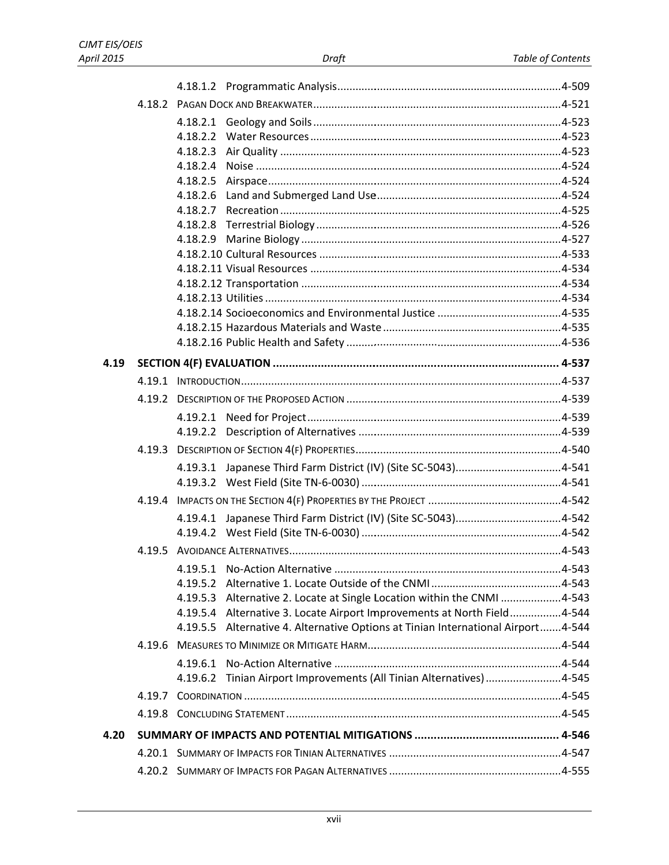|      | 4.18.2.2                                                                                                                                                    |  |
|------|-------------------------------------------------------------------------------------------------------------------------------------------------------------|--|
|      | 4.18.2.3                                                                                                                                                    |  |
|      | 4.18.2.4                                                                                                                                                    |  |
|      | 4.18.2.6                                                                                                                                                    |  |
|      | 4.18.2.7                                                                                                                                                    |  |
|      | 4.18.2.8                                                                                                                                                    |  |
|      |                                                                                                                                                             |  |
|      |                                                                                                                                                             |  |
|      |                                                                                                                                                             |  |
|      |                                                                                                                                                             |  |
|      |                                                                                                                                                             |  |
|      |                                                                                                                                                             |  |
|      |                                                                                                                                                             |  |
|      |                                                                                                                                                             |  |
| 4.19 |                                                                                                                                                             |  |
|      |                                                                                                                                                             |  |
|      |                                                                                                                                                             |  |
|      |                                                                                                                                                             |  |
|      | 4.19.2.2                                                                                                                                                    |  |
|      |                                                                                                                                                             |  |
|      |                                                                                                                                                             |  |
|      |                                                                                                                                                             |  |
|      |                                                                                                                                                             |  |
|      |                                                                                                                                                             |  |
|      |                                                                                                                                                             |  |
|      |                                                                                                                                                             |  |
|      |                                                                                                                                                             |  |
|      | 4.19.5.2                                                                                                                                                    |  |
|      | 4.19.5.3 Alternative 2. Locate at Single Location within the CNMI 4-543                                                                                     |  |
|      | 4.19.5.4 Alternative 3. Locate Airport Improvements at North Field4-544<br>4.19.5.5 Alternative 4. Alternative Options at Tinian International Airport4-544 |  |
|      |                                                                                                                                                             |  |
|      |                                                                                                                                                             |  |
|      | 4.19.6.1                                                                                                                                                    |  |
|      | 4.19.6.2 Tinian Airport Improvements (All Tinian Alternatives) 4-545                                                                                        |  |
|      |                                                                                                                                                             |  |
|      |                                                                                                                                                             |  |
| 4.20 |                                                                                                                                                             |  |
|      |                                                                                                                                                             |  |
|      |                                                                                                                                                             |  |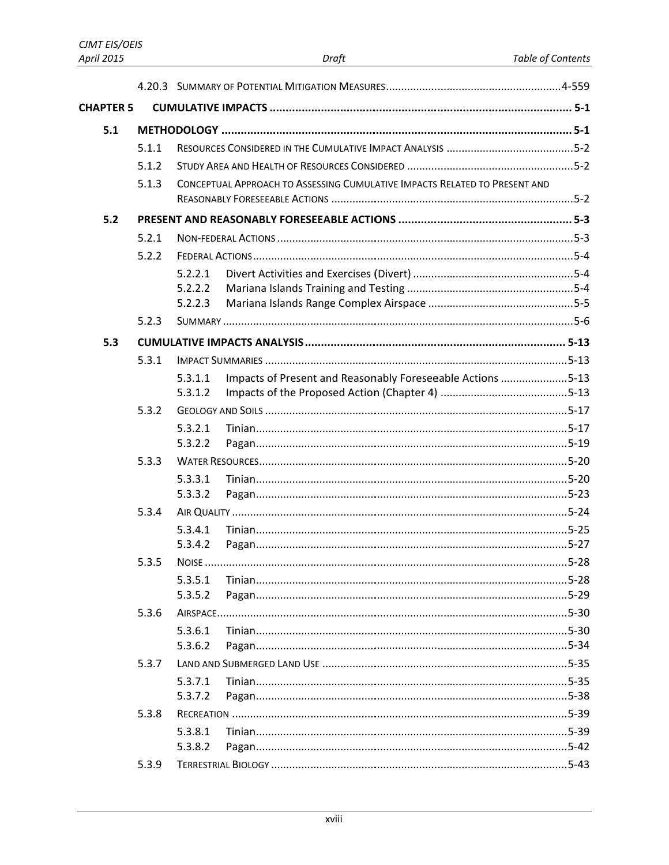| <b>CHAPTER 5</b> |       |                    |                                                                            |  |
|------------------|-------|--------------------|----------------------------------------------------------------------------|--|
| 5.1              |       |                    |                                                                            |  |
|                  | 5.1.1 |                    |                                                                            |  |
|                  | 5.1.2 |                    |                                                                            |  |
|                  | 5.1.3 |                    | CONCEPTUAL APPROACH TO ASSESSING CUMULATIVE IMPACTS RELATED TO PRESENT AND |  |
|                  |       |                    |                                                                            |  |
| 5.2              |       |                    |                                                                            |  |
|                  | 5.2.1 |                    |                                                                            |  |
|                  | 5.2.2 |                    |                                                                            |  |
|                  |       | 5.2.2.1            |                                                                            |  |
|                  |       | 5.2.2.2            |                                                                            |  |
|                  |       | 5.2.2.3            |                                                                            |  |
|                  | 5.2.3 |                    |                                                                            |  |
| 5.3              |       |                    |                                                                            |  |
|                  | 5.3.1 |                    |                                                                            |  |
|                  |       | 5.3.1.1            | Impacts of Present and Reasonably Foreseeable Actions 5-13                 |  |
|                  |       | 5.3.1.2            |                                                                            |  |
|                  | 5.3.2 |                    |                                                                            |  |
|                  |       | 5.3.2.1            |                                                                            |  |
|                  |       | 5.3.2.2            |                                                                            |  |
|                  | 5.3.3 |                    |                                                                            |  |
|                  |       | 5.3.3.1<br>5.3.3.2 |                                                                            |  |
|                  | 5.3.4 |                    |                                                                            |  |
|                  |       | 5.3.4.1            |                                                                            |  |
|                  |       | 5.3.4.2            |                                                                            |  |
|                  | 5.3.5 |                    |                                                                            |  |
|                  |       | 5.3.5.1            |                                                                            |  |
|                  |       | 5.3.5.2            |                                                                            |  |
|                  | 5.3.6 |                    |                                                                            |  |
|                  |       | 5.3.6.1            |                                                                            |  |
|                  |       | 5.3.6.2            |                                                                            |  |
|                  | 5.3.7 |                    |                                                                            |  |
|                  |       | 5.3.7.1            |                                                                            |  |
|                  |       | 5.3.7.2            |                                                                            |  |
|                  | 5.3.8 |                    |                                                                            |  |
|                  |       | 5.3.8.1            |                                                                            |  |
|                  |       | 5.3.8.2            |                                                                            |  |
|                  | 5.3.9 |                    |                                                                            |  |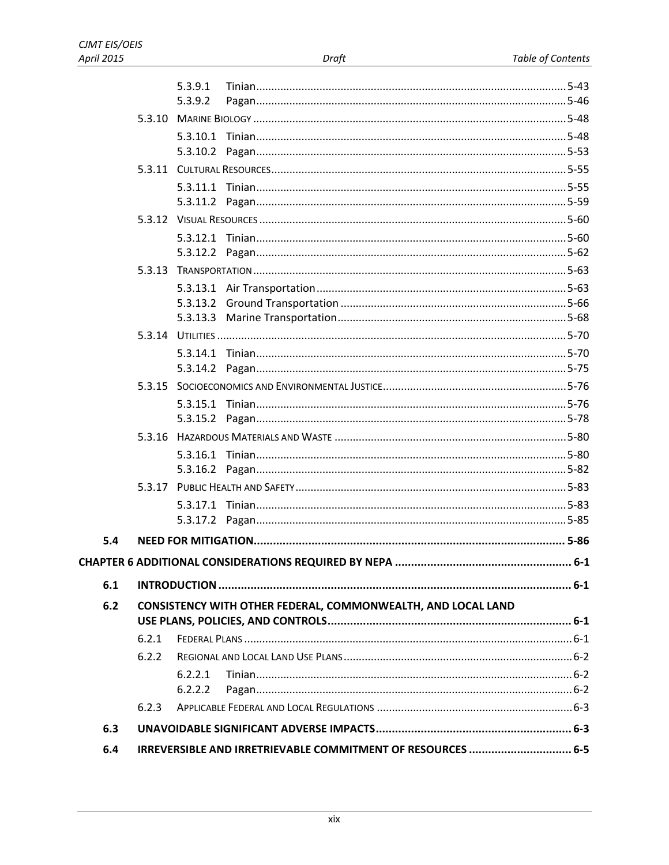|     |       | 5.3.9.1<br>5.3.9.2 |                                                              |  |
|-----|-------|--------------------|--------------------------------------------------------------|--|
|     |       |                    |                                                              |  |
|     |       |                    |                                                              |  |
|     |       |                    |                                                              |  |
|     |       |                    |                                                              |  |
|     |       |                    |                                                              |  |
|     |       |                    |                                                              |  |
|     |       |                    |                                                              |  |
|     |       |                    |                                                              |  |
|     |       |                    |                                                              |  |
|     |       |                    |                                                              |  |
|     |       |                    |                                                              |  |
|     |       |                    |                                                              |  |
|     |       |                    |                                                              |  |
|     |       |                    |                                                              |  |
|     |       |                    |                                                              |  |
|     |       |                    |                                                              |  |
|     |       |                    |                                                              |  |
|     |       |                    |                                                              |  |
|     |       |                    |                                                              |  |
|     |       |                    |                                                              |  |
|     |       |                    |                                                              |  |
|     |       |                    |                                                              |  |
|     |       |                    |                                                              |  |
|     |       |                    |                                                              |  |
| 5.4 |       |                    |                                                              |  |
|     |       |                    |                                                              |  |
| 6.1 |       |                    |                                                              |  |
| 6.2 |       |                    | CONSISTENCY WITH OTHER FEDERAL, COMMONWEALTH, AND LOCAL LAND |  |
|     |       |                    |                                                              |  |
|     | 6.2.1 |                    |                                                              |  |
|     | 6.2.2 |                    |                                                              |  |
|     |       | 6.2.2.1            |                                                              |  |
|     |       | 6.2.2.2            |                                                              |  |
|     | 6.2.3 |                    |                                                              |  |
| 6.3 |       |                    |                                                              |  |
| 6.4 |       |                    | IRREVERSIBLE AND IRRETRIEVABLE COMMITMENT OF RESOURCES  6-5  |  |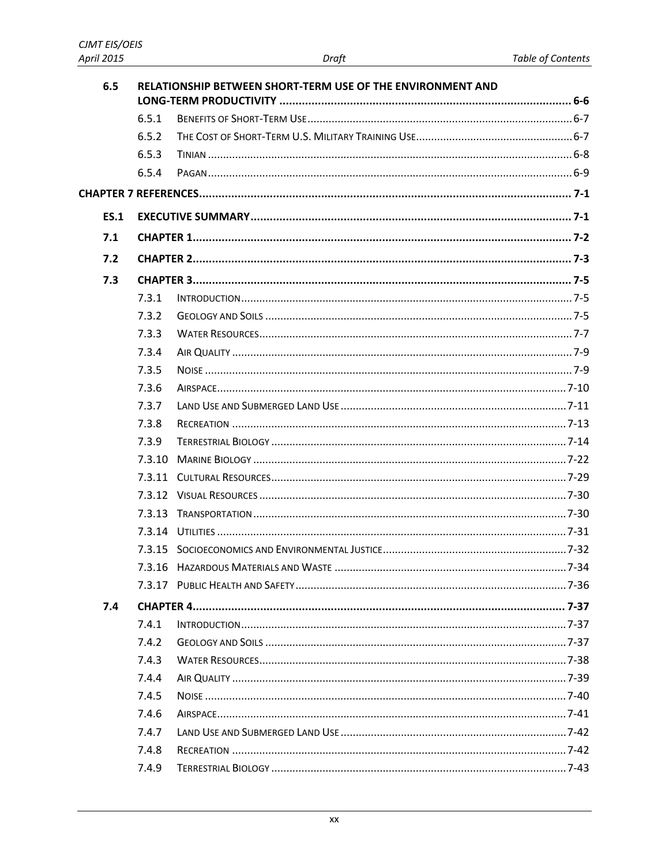| 6.5         |        | RELATIONSHIP BETWEEN SHORT-TERM USE OF THE ENVIRONMENT AND |  |
|-------------|--------|------------------------------------------------------------|--|
|             | 6.5.1  |                                                            |  |
|             | 6.5.2  |                                                            |  |
|             | 6.5.3  |                                                            |  |
|             | 6.5.4  |                                                            |  |
|             |        |                                                            |  |
| <b>ES.1</b> |        |                                                            |  |
| 7.1         |        |                                                            |  |
| 7.2         |        |                                                            |  |
| 7.3         |        |                                                            |  |
|             | 7.3.1  |                                                            |  |
|             | 7.3.2  |                                                            |  |
|             | 7.3.3  |                                                            |  |
|             | 7.3.4  |                                                            |  |
|             | 7.3.5  |                                                            |  |
|             | 7.3.6  |                                                            |  |
|             | 7.3.7  |                                                            |  |
|             | 7.3.8  |                                                            |  |
|             | 7.3.9  |                                                            |  |
|             | 7.3.10 |                                                            |  |
|             |        |                                                            |  |
|             |        |                                                            |  |
|             |        |                                                            |  |
|             |        |                                                            |  |
|             |        |                                                            |  |
|             |        |                                                            |  |
|             |        |                                                            |  |
| 7.4         |        |                                                            |  |
|             | 7.4.1  |                                                            |  |
|             | 7.4.2  |                                                            |  |
|             | 7.4.3  |                                                            |  |
|             | 7.4.4  |                                                            |  |
|             | 7.4.5  |                                                            |  |
|             | 7.4.6  |                                                            |  |
|             | 7.4.7  |                                                            |  |
|             | 7.4.8  |                                                            |  |
|             | 7.4.9  |                                                            |  |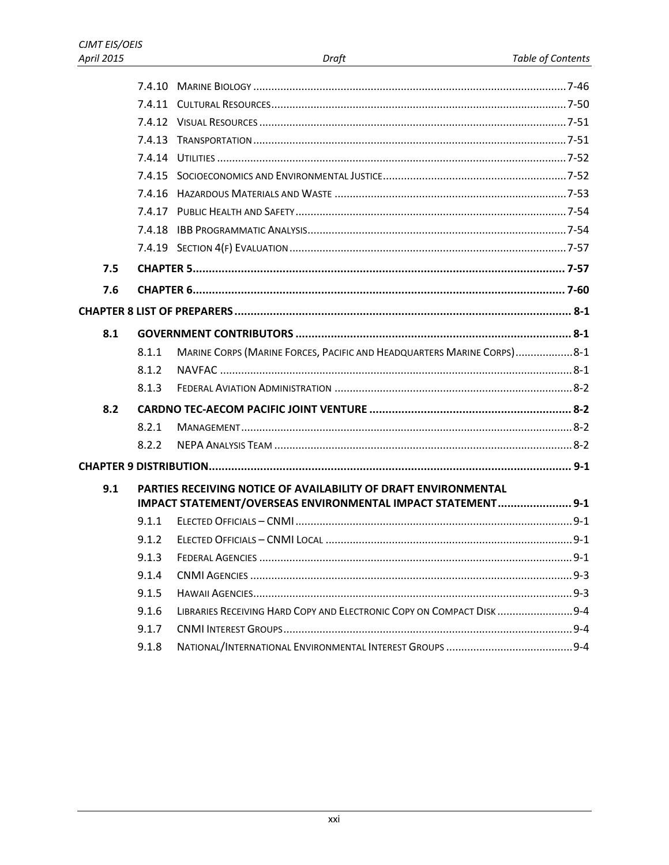|     | 7.4.13 |                                                                        |  |
|-----|--------|------------------------------------------------------------------------|--|
|     |        |                                                                        |  |
|     |        |                                                                        |  |
|     |        |                                                                        |  |
|     |        |                                                                        |  |
|     |        |                                                                        |  |
|     |        |                                                                        |  |
| 7.5 |        |                                                                        |  |
| 7.6 |        |                                                                        |  |
|     |        |                                                                        |  |
| 8.1 |        |                                                                        |  |
|     | 8.1.1  | MARINE CORPS (MARINE FORCES, PACIFIC AND HEADQUARTERS MARINE CORPS)8-1 |  |
|     | 8.1.2  |                                                                        |  |
|     | 8.1.3  |                                                                        |  |
| 8.2 |        |                                                                        |  |
|     | 8.2.1  |                                                                        |  |
|     | 8.2.2  |                                                                        |  |
|     |        |                                                                        |  |
| 9.1 |        | PARTIES RECEIVING NOTICE OF AVAILABILITY OF DRAFT ENVIRONMENTAL        |  |
|     |        | IMPACT STATEMENT/OVERSEAS ENVIRONMENTAL IMPACT STATEMENT 9-1           |  |
|     | 9.1.1  |                                                                        |  |
|     | 9.1.2  |                                                                        |  |
|     | 9.1.3  |                                                                        |  |
|     | 9.1.4  |                                                                        |  |
|     | 9.1.5  |                                                                        |  |
|     | 9.1.6  | LIBRARIES RECEIVING HARD COPY AND ELECTRONIC COPY ON COMPACT DISK  9-4 |  |
|     | 9.1.7  |                                                                        |  |
|     | 9.1.8  |                                                                        |  |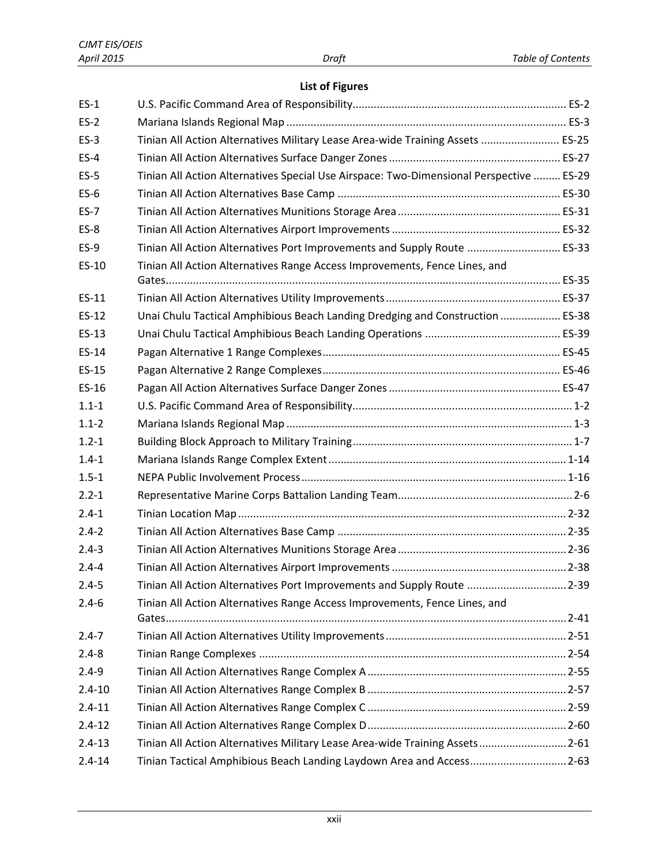# **List of Figures**

| $ES-1$      |                                                                                         |  |
|-------------|-----------------------------------------------------------------------------------------|--|
| $ES-2$      |                                                                                         |  |
| $ES-3$      | Tinian All Action Alternatives Military Lease Area-wide Training Assets  ES-25          |  |
| $ES-4$      |                                                                                         |  |
| $ES-5$      | Tinian All Action Alternatives Special Use Airspace: Two-Dimensional Perspective  ES-29 |  |
| $ES-6$      |                                                                                         |  |
| <b>ES-7</b> |                                                                                         |  |
| $ES-8$      |                                                                                         |  |
| $ES-9$      | Tinian All Action Alternatives Port Improvements and Supply Route  ES-33                |  |
| ES-10       | Tinian All Action Alternatives Range Access Improvements, Fence Lines, and              |  |
|             |                                                                                         |  |
| ES-11       |                                                                                         |  |
| ES-12       | Unai Chulu Tactical Amphibious Beach Landing Dredging and Construction  ES-38           |  |
| $ES-13$     |                                                                                         |  |
| ES-14       |                                                                                         |  |
| ES-15       |                                                                                         |  |
| $ES-16$     |                                                                                         |  |
| $1.1 - 1$   |                                                                                         |  |
| $1.1 - 2$   |                                                                                         |  |
| $1.2 - 1$   |                                                                                         |  |
| $1.4 - 1$   |                                                                                         |  |
| $1.5 - 1$   |                                                                                         |  |
| $2.2 - 1$   |                                                                                         |  |
| $2.4 - 1$   |                                                                                         |  |
| $2.4 - 2$   |                                                                                         |  |
| $2.4 - 3$   |                                                                                         |  |
| $2.4 - 4$   |                                                                                         |  |
| $2.4 - 5$   | Tinian All Action Alternatives Port Improvements and Supply Route 2-39                  |  |
| $2.4 - 6$   | Tinian All Action Alternatives Range Access Improvements, Fence Lines, and              |  |
|             |                                                                                         |  |
| $2.4 - 7$   |                                                                                         |  |
| $2.4 - 8$   |                                                                                         |  |
| $2.4 - 9$   |                                                                                         |  |
| $2.4 - 10$  |                                                                                         |  |
| $2.4 - 11$  |                                                                                         |  |
| $2.4 - 12$  |                                                                                         |  |
| $2.4 - 13$  | Tinian All Action Alternatives Military Lease Area-wide Training Assets 2-61            |  |
| $2.4 - 14$  | Tinian Tactical Amphibious Beach Landing Laydown Area and Access 2-63                   |  |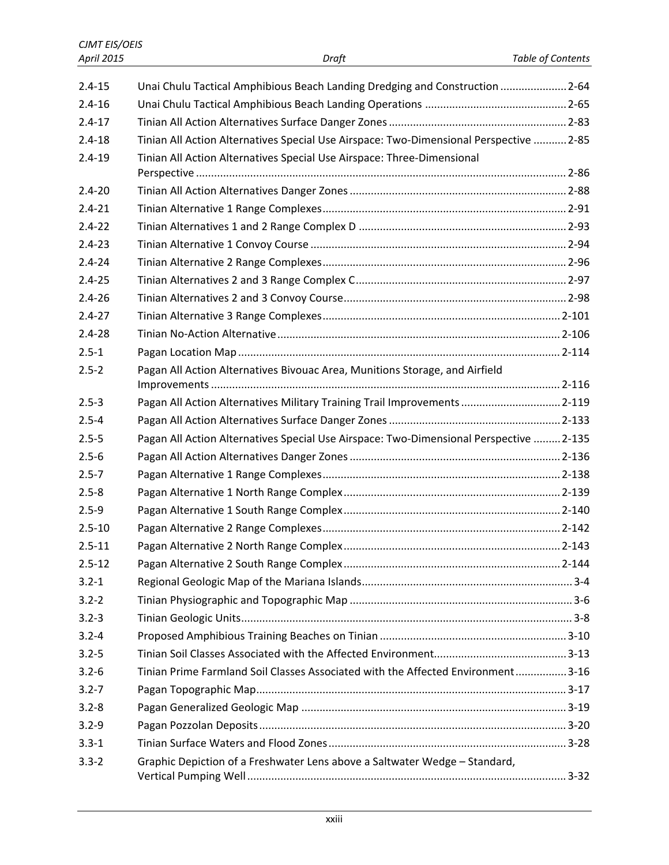| $2.4 - 15$ | Unai Chulu Tactical Amphibious Beach Landing Dredging and Construction  2-64           |  |
|------------|----------------------------------------------------------------------------------------|--|
| $2.4 - 16$ |                                                                                        |  |
| $2.4 - 17$ |                                                                                        |  |
| $2.4 - 18$ | Tinian All Action Alternatives Special Use Airspace: Two-Dimensional Perspective  2-85 |  |
| $2.4 - 19$ | Tinian All Action Alternatives Special Use Airspace: Three-Dimensional                 |  |
|            |                                                                                        |  |
| $2.4 - 20$ |                                                                                        |  |
| $2.4 - 21$ |                                                                                        |  |
| $2.4 - 22$ |                                                                                        |  |
| $2.4 - 23$ |                                                                                        |  |
| $2.4 - 24$ |                                                                                        |  |
| $2.4 - 25$ |                                                                                        |  |
| $2.4 - 26$ |                                                                                        |  |
| $2.4 - 27$ |                                                                                        |  |
| $2.4 - 28$ |                                                                                        |  |
| $2.5 - 1$  |                                                                                        |  |
| $2.5 - 2$  | Pagan All Action Alternatives Bivouac Area, Munitions Storage, and Airfield            |  |
|            |                                                                                        |  |
| $2.5 - 3$  | Pagan All Action Alternatives Military Training Trail Improvements  2-119              |  |
| $2.5 - 4$  |                                                                                        |  |
| $2.5 - 5$  | Pagan All Action Alternatives Special Use Airspace: Two-Dimensional Perspective  2-135 |  |
| $2.5 - 6$  |                                                                                        |  |
| $2.5 - 7$  |                                                                                        |  |
| $2.5 - 8$  |                                                                                        |  |
| $2.5 - 9$  |                                                                                        |  |
| $2.5 - 10$ |                                                                                        |  |
| $2.5 - 11$ |                                                                                        |  |
| $2.5 - 12$ |                                                                                        |  |
| $3.2 - 1$  |                                                                                        |  |
| $3.2 - 2$  |                                                                                        |  |
| $3.2 - 3$  |                                                                                        |  |
| $3.2 - 4$  |                                                                                        |  |
| $3.2 - 5$  |                                                                                        |  |
| $3.2 - 6$  | Tinian Prime Farmland Soil Classes Associated with the Affected Environment3-16        |  |
| $3.2 - 7$  |                                                                                        |  |
| $3.2 - 8$  |                                                                                        |  |
| $3.2 - 9$  |                                                                                        |  |
| $3.3 - 1$  |                                                                                        |  |
| $3.3 - 2$  | Graphic Depiction of a Freshwater Lens above a Saltwater Wedge - Standard,             |  |
|            |                                                                                        |  |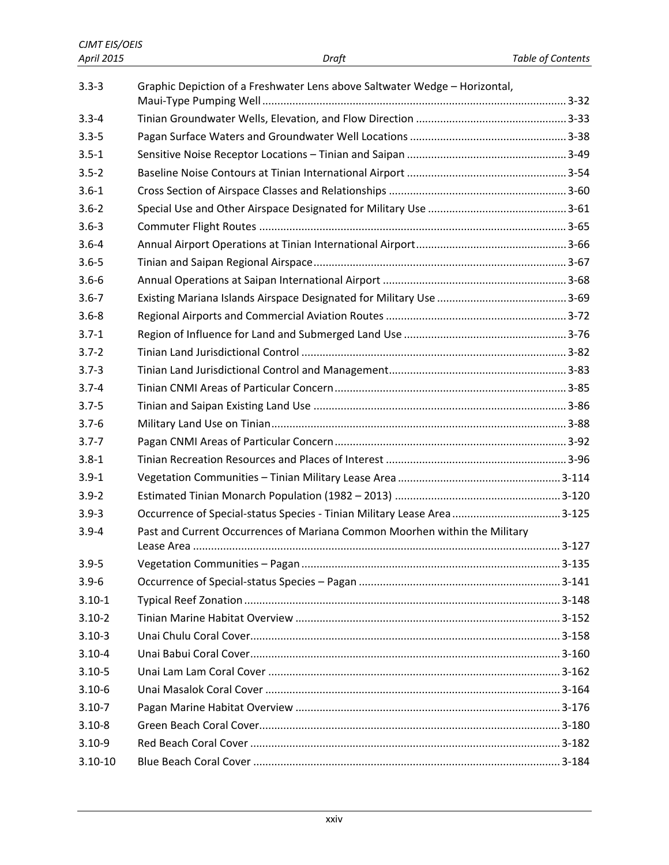| $3.3 - 3$   | Graphic Depiction of a Freshwater Lens above Saltwater Wedge - Horizontal, |  |
|-------------|----------------------------------------------------------------------------|--|
| $3.3 - 4$   |                                                                            |  |
| $3.3 - 5$   |                                                                            |  |
| $3.5 - 1$   |                                                                            |  |
| $3.5 - 2$   |                                                                            |  |
| $3.6 - 1$   |                                                                            |  |
| $3.6 - 2$   |                                                                            |  |
| $3.6 - 3$   |                                                                            |  |
| $3.6 - 4$   |                                                                            |  |
| $3.6 - 5$   |                                                                            |  |
| $3.6 - 6$   |                                                                            |  |
| $3.6 - 7$   |                                                                            |  |
| $3.6 - 8$   |                                                                            |  |
| $3.7 - 1$   |                                                                            |  |
| $3.7 - 2$   |                                                                            |  |
| $3.7 - 3$   |                                                                            |  |
| $3.7 - 4$   |                                                                            |  |
| $3.7 - 5$   |                                                                            |  |
| $3.7 - 6$   |                                                                            |  |
| $3.7 - 7$   |                                                                            |  |
| $3.8 - 1$   |                                                                            |  |
| $3.9 - 1$   |                                                                            |  |
| $3.9 - 2$   |                                                                            |  |
| $3.9 - 3$   | Occurrence of Special-status Species - Tinian Military Lease Area  3-125   |  |
| $3.9 - 4$   | Past and Current Occurrences of Mariana Common Moorhen within the Military |  |
| $3.9 - 5$   |                                                                            |  |
| $3.9 - 6$   |                                                                            |  |
| $3.10 - 1$  |                                                                            |  |
| $3.10 - 2$  |                                                                            |  |
| $3.10 - 3$  |                                                                            |  |
| $3.10 - 4$  |                                                                            |  |
| $3.10 - 5$  |                                                                            |  |
| $3.10 - 6$  |                                                                            |  |
| $3.10 - 7$  |                                                                            |  |
| $3.10 - 8$  |                                                                            |  |
| $3.10 - 9$  |                                                                            |  |
| $3.10 - 10$ |                                                                            |  |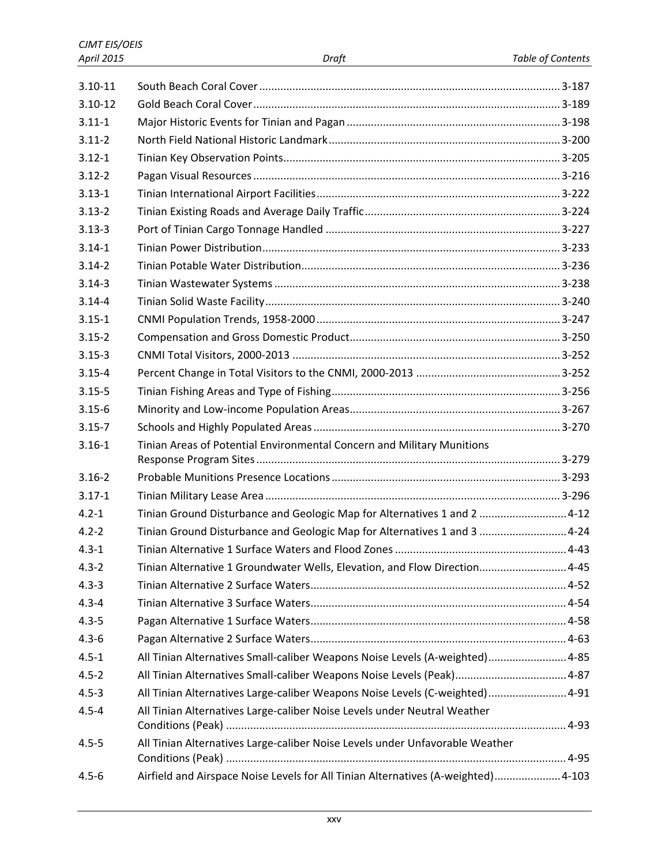| $3.10 - 11$ |                                                                                  |  |
|-------------|----------------------------------------------------------------------------------|--|
| $3.10 - 12$ |                                                                                  |  |
| $3.11 - 1$  |                                                                                  |  |
| $3.11 - 2$  |                                                                                  |  |
| $3.12 - 1$  |                                                                                  |  |
| $3.12 - 2$  |                                                                                  |  |
| $3.13 - 1$  |                                                                                  |  |
| $3.13 - 2$  |                                                                                  |  |
| $3.13 - 3$  |                                                                                  |  |
| $3.14 - 1$  |                                                                                  |  |
| $3.14 - 2$  |                                                                                  |  |
| $3.14 - 3$  |                                                                                  |  |
| $3.14 - 4$  |                                                                                  |  |
| $3.15 - 1$  |                                                                                  |  |
| $3.15 - 2$  |                                                                                  |  |
| $3.15 - 3$  |                                                                                  |  |
| $3.15 - 4$  |                                                                                  |  |
| $3.15 - 5$  |                                                                                  |  |
| $3.15 - 6$  |                                                                                  |  |
| $3.15 - 7$  |                                                                                  |  |
| $3.16 - 1$  | Tinian Areas of Potential Environmental Concern and Military Munitions           |  |
| $3.16 - 2$  |                                                                                  |  |
| $3.17 - 1$  |                                                                                  |  |
| $4.2 - 1$   | Tinian Ground Disturbance and Geologic Map for Alternatives 1 and 2 4-12         |  |
| $4.2 - 2$   | Tinian Ground Disturbance and Geologic Map for Alternatives 1 and 3 4-24         |  |
| $4.3 - 1$   |                                                                                  |  |
| $4.3 - 2$   | Tinian Alternative 1 Groundwater Wells, Elevation, and Flow Direction4-45        |  |
| $4.3 - 3$   |                                                                                  |  |
| $4.3 - 4$   |                                                                                  |  |
| $4.3 - 5$   |                                                                                  |  |
| $4.3 - 6$   |                                                                                  |  |
| $4.5 - 1$   | All Tinian Alternatives Small-caliber Weapons Noise Levels (A-weighted) 4-85     |  |
| $4.5 - 2$   | All Tinian Alternatives Small-caliber Weapons Noise Levels (Peak) 4-87           |  |
| $4.5 - 3$   | All Tinian Alternatives Large-caliber Weapons Noise Levels (C-weighted)4-91      |  |
| $4.5 - 4$   | All Tinian Alternatives Large-caliber Noise Levels under Neutral Weather         |  |
| $4.5 - 5$   | All Tinian Alternatives Large-caliber Noise Levels under Unfavorable Weather     |  |
| $4.5 - 6$   | Airfield and Airspace Noise Levels for All Tinian Alternatives (A-weighted)4-103 |  |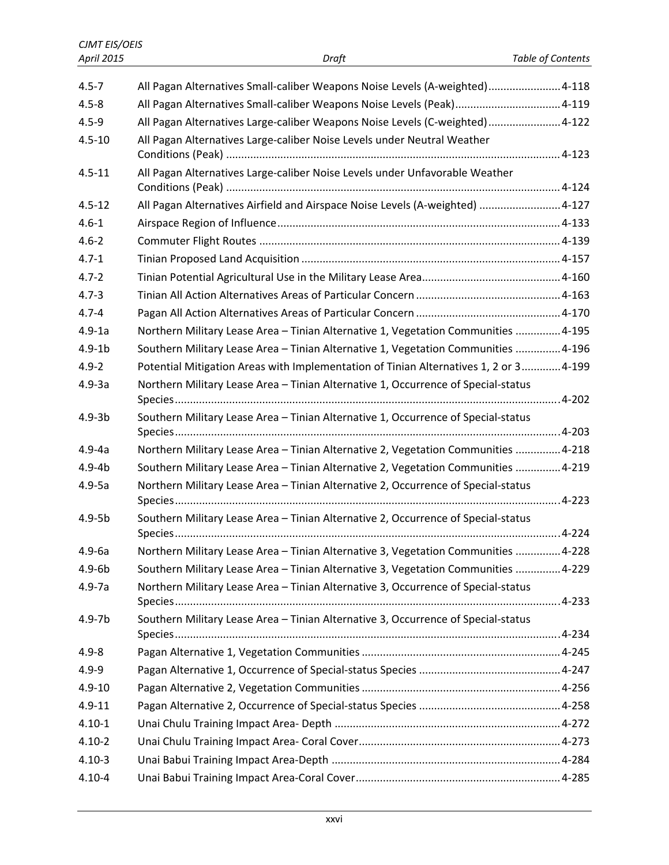| $4.5 - 7$  | All Pagan Alternatives Small-caliber Weapons Noise Levels (A-weighted) 4-118          |  |
|------------|---------------------------------------------------------------------------------------|--|
| $4.5 - 8$  | All Pagan Alternatives Small-caliber Weapons Noise Levels (Peak) 4-119                |  |
| $4.5 - 9$  | All Pagan Alternatives Large-caliber Weapons Noise Levels (C-weighted) 4-122          |  |
| $4.5 - 10$ | All Pagan Alternatives Large-caliber Noise Levels under Neutral Weather               |  |
| $4.5 - 11$ | All Pagan Alternatives Large-caliber Noise Levels under Unfavorable Weather           |  |
| $4.5 - 12$ | All Pagan Alternatives Airfield and Airspace Noise Levels (A-weighted)  4-127         |  |
| $4.6 - 1$  |                                                                                       |  |
| $4.6 - 2$  |                                                                                       |  |
| $4.7 - 1$  |                                                                                       |  |
| $4.7 - 2$  |                                                                                       |  |
| $4.7 - 3$  |                                                                                       |  |
| $4.7 - 4$  |                                                                                       |  |
| $4.9 - 1a$ | Northern Military Lease Area - Tinian Alternative 1, Vegetation Communities  4-195    |  |
| $4.9 - 1b$ | Southern Military Lease Area - Tinian Alternative 1, Vegetation Communities  4-196    |  |
| $4.9 - 2$  | Potential Mitigation Areas with Implementation of Tinian Alternatives 1, 2 or 3 4-199 |  |
| $4.9-3a$   | Northern Military Lease Area - Tinian Alternative 1, Occurrence of Special-status     |  |
| $4.9 - 3b$ | Southern Military Lease Area - Tinian Alternative 1, Occurrence of Special-status     |  |
| $4.9 - 4a$ | Northern Military Lease Area - Tinian Alternative 2, Vegetation Communities  4-218    |  |
| $4.9 - 4b$ | Southern Military Lease Area - Tinian Alternative 2, Vegetation Communities  4-219    |  |
| $4.9 - 5a$ | Northern Military Lease Area - Tinian Alternative 2, Occurrence of Special-status     |  |
| $4.9 - 5b$ | Southern Military Lease Area - Tinian Alternative 2, Occurrence of Special-status     |  |
| $4.9 - 6a$ | Northern Military Lease Area - Tinian Alternative 3, Vegetation Communities  4-228    |  |
| $4.9 - 6b$ | Southern Military Lease Area - Tinian Alternative 3, Vegetation Communities  4-229    |  |
| $4.9 - 7a$ | Northern Military Lease Area - Tinian Alternative 3, Occurrence of Special-status     |  |
| $4.9 - 7b$ | Southern Military Lease Area - Tinian Alternative 3, Occurrence of Special-status     |  |
| $4.9 - 8$  |                                                                                       |  |
| $4.9 - 9$  |                                                                                       |  |
| $4.9 - 10$ |                                                                                       |  |
| $4.9 - 11$ |                                                                                       |  |
| $4.10 - 1$ |                                                                                       |  |
| $4.10 - 2$ |                                                                                       |  |
| $4.10 - 3$ |                                                                                       |  |
| $4.10 - 4$ |                                                                                       |  |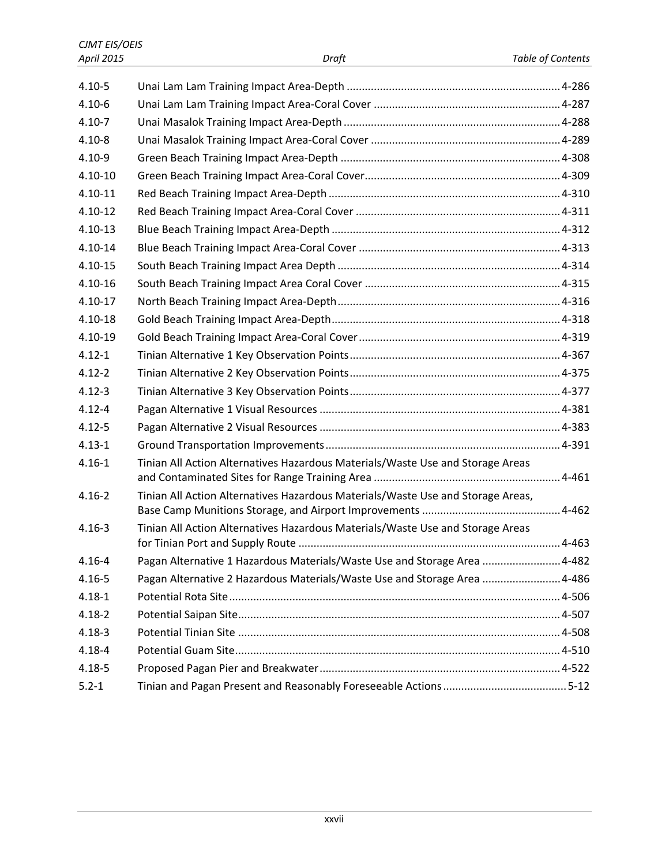| $4.10 - 5$  |                                                                                 |  |
|-------------|---------------------------------------------------------------------------------|--|
| $4.10 - 6$  |                                                                                 |  |
| $4.10 - 7$  |                                                                                 |  |
| $4.10 - 8$  |                                                                                 |  |
| $4.10 - 9$  |                                                                                 |  |
| $4.10 - 10$ |                                                                                 |  |
| 4.10-11     |                                                                                 |  |
| 4.10-12     |                                                                                 |  |
| 4.10-13     |                                                                                 |  |
| $4.10 - 14$ |                                                                                 |  |
| 4.10-15     |                                                                                 |  |
| 4.10-16     |                                                                                 |  |
| $4.10 - 17$ |                                                                                 |  |
| 4.10-18     |                                                                                 |  |
| 4.10-19     |                                                                                 |  |
| $4.12 - 1$  |                                                                                 |  |
| $4.12 - 2$  |                                                                                 |  |
| $4.12 - 3$  |                                                                                 |  |
| $4.12 - 4$  |                                                                                 |  |
| $4.12 - 5$  |                                                                                 |  |
| $4.13 - 1$  |                                                                                 |  |
| $4.16 - 1$  | Tinian All Action Alternatives Hazardous Materials/Waste Use and Storage Areas  |  |
| $4.16 - 2$  | Tinian All Action Alternatives Hazardous Materials/Waste Use and Storage Areas, |  |
| $4.16 - 3$  | Tinian All Action Alternatives Hazardous Materials/Waste Use and Storage Areas  |  |
| $4.16 - 4$  | Pagan Alternative 1 Hazardous Materials/Waste Use and Storage Area 4-482        |  |
| $4.16 - 5$  | Pagan Alternative 2 Hazardous Materials/Waste Use and Storage Area  4-486       |  |
| $4.18 - 1$  |                                                                                 |  |
| $4.18 - 2$  |                                                                                 |  |
| $4.18 - 3$  |                                                                                 |  |
| $4.18 - 4$  |                                                                                 |  |
| $4.18 - 5$  |                                                                                 |  |
| $5.2 - 1$   |                                                                                 |  |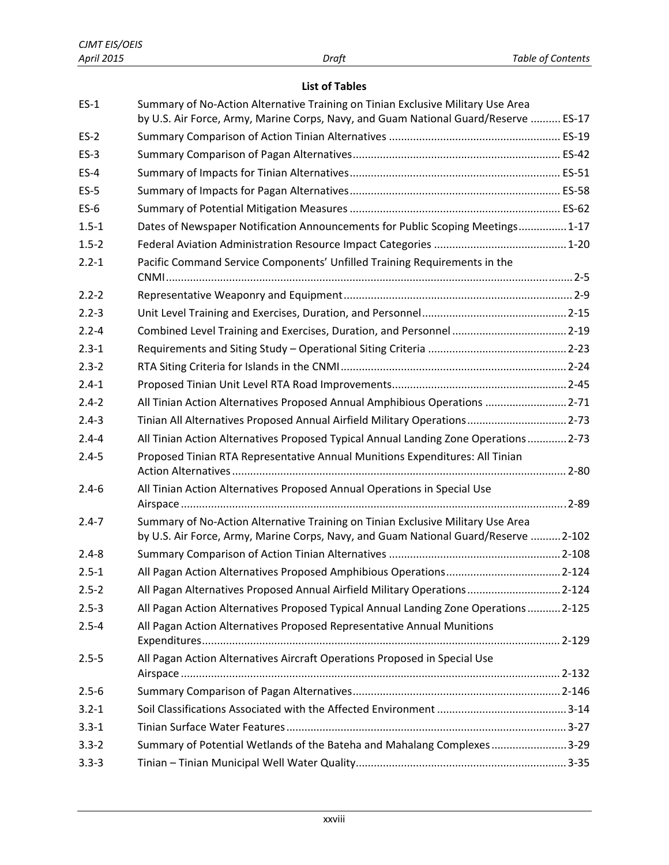# **List of Tables**

| $ES-1$    | Summary of No-Action Alternative Training on Tinian Exclusive Military Use Area      |  |
|-----------|--------------------------------------------------------------------------------------|--|
| $ES-2$    | by U.S. Air Force, Army, Marine Corps, Navy, and Guam National Guard/Reserve  ES-17  |  |
| $ES-3$    |                                                                                      |  |
| $ES-4$    |                                                                                      |  |
| $ES-5$    |                                                                                      |  |
| $ES-6$    |                                                                                      |  |
| $1.5 - 1$ | Dates of Newspaper Notification Announcements for Public Scoping Meetings 1-17       |  |
| $1.5 - 2$ |                                                                                      |  |
|           |                                                                                      |  |
| $2.2 - 1$ | Pacific Command Service Components' Unfilled Training Requirements in the            |  |
| $2.2 - 2$ |                                                                                      |  |
| $2.2 - 3$ |                                                                                      |  |
| $2.2 - 4$ |                                                                                      |  |
| $2.3 - 1$ |                                                                                      |  |
| $2.3 - 2$ |                                                                                      |  |
| $2.4 - 1$ |                                                                                      |  |
| $2.4 - 2$ | All Tinian Action Alternatives Proposed Annual Amphibious Operations  2-71           |  |
| $2.4 - 3$ | Tinian All Alternatives Proposed Annual Airfield Military Operations 2-73            |  |
| $2.4 - 4$ | All Tinian Action Alternatives Proposed Typical Annual Landing Zone Operations2-73   |  |
| $2.4 - 5$ | Proposed Tinian RTA Representative Annual Munitions Expenditures: All Tinian         |  |
|           |                                                                                      |  |
| $2.4 - 6$ | All Tinian Action Alternatives Proposed Annual Operations in Special Use             |  |
|           |                                                                                      |  |
| $2.4 - 7$ | Summary of No-Action Alternative Training on Tinian Exclusive Military Use Area      |  |
|           | by U.S. Air Force, Army, Marine Corps, Navy, and Guam National Guard/Reserve  2-102  |  |
| $2.4 - 8$ |                                                                                      |  |
| $2.5 - 1$ |                                                                                      |  |
| $2.5 - 2$ | All Pagan Alternatives Proposed Annual Airfield Military Operations2-124             |  |
| $2.5 - 3$ | All Pagan Action Alternatives Proposed Typical Annual Landing Zone Operations  2-125 |  |
| $2.5 - 4$ | All Pagan Action Alternatives Proposed Representative Annual Munitions               |  |
| $2.5 - 5$ | All Pagan Action Alternatives Aircraft Operations Proposed in Special Use            |  |
| $2.5 - 6$ |                                                                                      |  |
| $3.2 - 1$ |                                                                                      |  |
| $3.3 - 1$ |                                                                                      |  |
| $3.3 - 2$ | Summary of Potential Wetlands of the Bateha and Mahalang Complexes 3-29              |  |
| $3.3 - 3$ |                                                                                      |  |
|           |                                                                                      |  |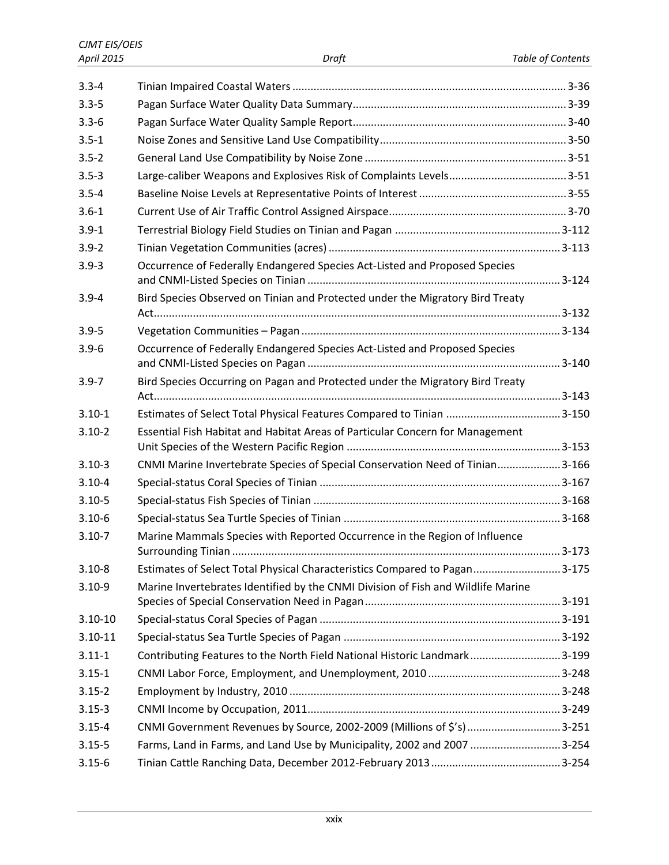| $3.3 - 4$   |                                                                                  |  |
|-------------|----------------------------------------------------------------------------------|--|
| $3.3 - 5$   |                                                                                  |  |
| $3.3 - 6$   |                                                                                  |  |
| $3.5 - 1$   |                                                                                  |  |
| $3.5 - 2$   |                                                                                  |  |
| $3.5 - 3$   |                                                                                  |  |
| $3.5 - 4$   |                                                                                  |  |
| $3.6 - 1$   |                                                                                  |  |
| $3.9 - 1$   |                                                                                  |  |
| $3.9 - 2$   |                                                                                  |  |
| $3.9 - 3$   | Occurrence of Federally Endangered Species Act-Listed and Proposed Species       |  |
| $3.9 - 4$   | Bird Species Observed on Tinian and Protected under the Migratory Bird Treaty    |  |
| $3.9 - 5$   |                                                                                  |  |
| $3.9 - 6$   | Occurrence of Federally Endangered Species Act-Listed and Proposed Species       |  |
| $3.9 - 7$   | Bird Species Occurring on Pagan and Protected under the Migratory Bird Treaty    |  |
| $3.10 - 1$  |                                                                                  |  |
| $3.10 - 2$  | Essential Fish Habitat and Habitat Areas of Particular Concern for Management    |  |
| $3.10 - 3$  | CNMI Marine Invertebrate Species of Special Conservation Need of Tinian3-166     |  |
| $3.10 - 4$  |                                                                                  |  |
| $3.10 - 5$  |                                                                                  |  |
| $3.10 - 6$  |                                                                                  |  |
| $3.10 - 7$  | Marine Mammals Species with Reported Occurrence in the Region of Influence       |  |
| $3.10 - 8$  | Estimates of Select Total Physical Characteristics Compared to Pagan3-175        |  |
| $3.10 - 9$  | Marine Invertebrates Identified by the CNMI Division of Fish and Wildlife Marine |  |
| $3.10 - 10$ |                                                                                  |  |
| $3.10 - 11$ |                                                                                  |  |
| $3.11 - 1$  | Contributing Features to the North Field National Historic Landmark3-199         |  |
| $3.15 - 1$  |                                                                                  |  |
| $3.15 - 2$  |                                                                                  |  |
| $3.15 - 3$  |                                                                                  |  |
| $3.15 - 4$  | CNMI Government Revenues by Source, 2002-2009 (Millions of \$'s) 3-251           |  |
| $3.15 - 5$  | Farms, Land in Farms, and Land Use by Municipality, 2002 and 2007 3-254          |  |
| $3.15 - 6$  |                                                                                  |  |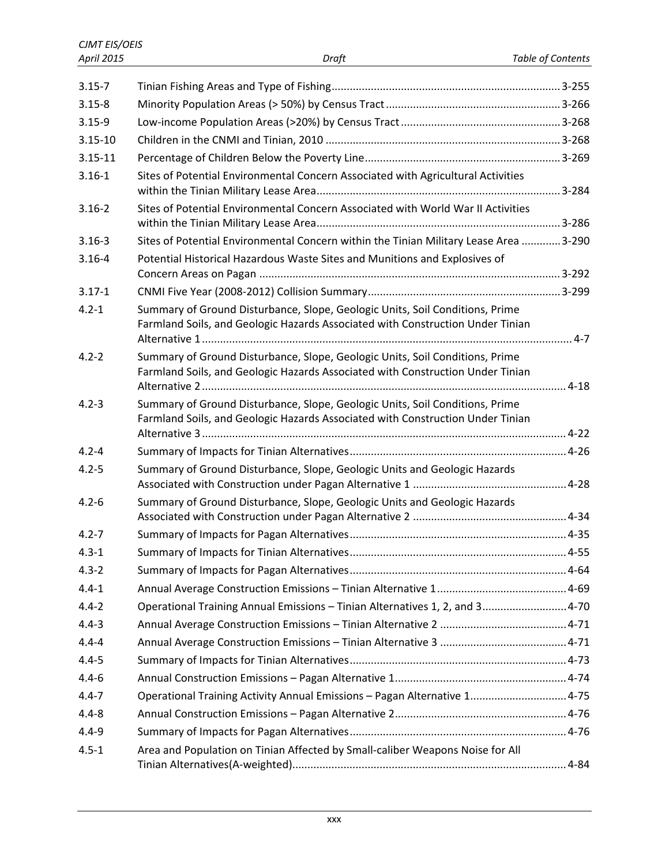| $3.15 - 7$  |                                                                                                                                                                |  |
|-------------|----------------------------------------------------------------------------------------------------------------------------------------------------------------|--|
| $3.15 - 8$  |                                                                                                                                                                |  |
| $3.15 - 9$  |                                                                                                                                                                |  |
| $3.15 - 10$ |                                                                                                                                                                |  |
| $3.15 - 11$ |                                                                                                                                                                |  |
| $3.16 - 1$  | Sites of Potential Environmental Concern Associated with Agricultural Activities                                                                               |  |
| $3.16 - 2$  | Sites of Potential Environmental Concern Associated with World War II Activities                                                                               |  |
| $3.16 - 3$  | Sites of Potential Environmental Concern within the Tinian Military Lease Area  3-290                                                                          |  |
| $3.16 - 4$  | Potential Historical Hazardous Waste Sites and Munitions and Explosives of                                                                                     |  |
| $3.17 - 1$  |                                                                                                                                                                |  |
| $4.2 - 1$   | Summary of Ground Disturbance, Slope, Geologic Units, Soil Conditions, Prime<br>Farmland Soils, and Geologic Hazards Associated with Construction Under Tinian |  |
| $4.2 - 2$   | Summary of Ground Disturbance, Slope, Geologic Units, Soil Conditions, Prime<br>Farmland Soils, and Geologic Hazards Associated with Construction Under Tinian |  |
| $4.2 - 3$   | Summary of Ground Disturbance, Slope, Geologic Units, Soil Conditions, Prime<br>Farmland Soils, and Geologic Hazards Associated with Construction Under Tinian |  |
| $4.2 - 4$   |                                                                                                                                                                |  |
| $4.2 - 5$   | Summary of Ground Disturbance, Slope, Geologic Units and Geologic Hazards                                                                                      |  |
| $4.2 - 6$   | Summary of Ground Disturbance, Slope, Geologic Units and Geologic Hazards                                                                                      |  |
| $4.2 - 7$   |                                                                                                                                                                |  |
| $4.3 - 1$   |                                                                                                                                                                |  |
| $4.3 - 2$   |                                                                                                                                                                |  |
| $4.4 - 1$   |                                                                                                                                                                |  |
| $4.4 - 2$   | Operational Training Annual Emissions - Tinian Alternatives 1, 2, and 3 4-70                                                                                   |  |
| $4.4 - 3$   |                                                                                                                                                                |  |
| $4.4 - 4$   |                                                                                                                                                                |  |
| $4.4 - 5$   |                                                                                                                                                                |  |
| $4.4 - 6$   |                                                                                                                                                                |  |
| $4.4 - 7$   | Operational Training Activity Annual Emissions - Pagan Alternative 1 4-75                                                                                      |  |
| $4.4 - 8$   |                                                                                                                                                                |  |
| $4.4 - 9$   |                                                                                                                                                                |  |
| $4.5 - 1$   | Area and Population on Tinian Affected by Small-caliber Weapons Noise for All                                                                                  |  |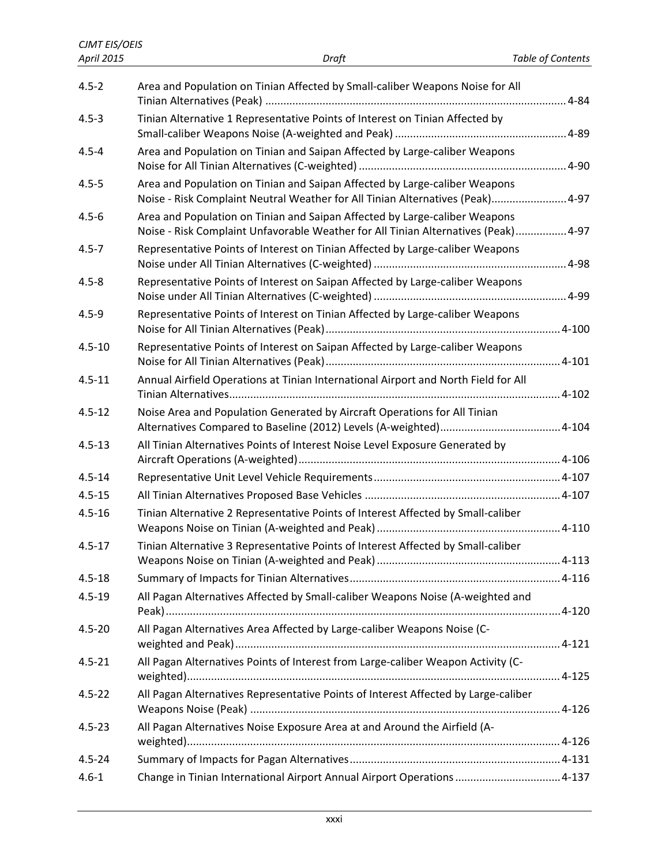| CJMT EIS/OEIS<br>April 2015 | Draft                                                                                                                                                            | <b>Table of Contents</b> |
|-----------------------------|------------------------------------------------------------------------------------------------------------------------------------------------------------------|--------------------------|
|                             |                                                                                                                                                                  |                          |
| $4.5 - 2$                   | Area and Population on Tinian Affected by Small-caliber Weapons Noise for All                                                                                    |                          |
| $4.5 - 3$                   | Tinian Alternative 1 Representative Points of Interest on Tinian Affected by                                                                                     |                          |
| $4.5 - 4$                   | Area and Population on Tinian and Saipan Affected by Large-caliber Weapons                                                                                       |                          |
| $4.5 - 5$                   | Area and Population on Tinian and Saipan Affected by Large-caliber Weapons<br>Noise - Risk Complaint Neutral Weather for All Tinian Alternatives (Peak)4-97      |                          |
| $4.5 - 6$                   | Area and Population on Tinian and Saipan Affected by Large-caliber Weapons<br>Noise - Risk Complaint Unfavorable Weather for All Tinian Alternatives (Peak) 4-97 |                          |
| $4.5 - 7$                   | Representative Points of Interest on Tinian Affected by Large-caliber Weapons                                                                                    |                          |
| $4.5 - 8$                   | Representative Points of Interest on Saipan Affected by Large-caliber Weapons                                                                                    |                          |
| $4.5 - 9$                   | Representative Points of Interest on Tinian Affected by Large-caliber Weapons                                                                                    |                          |
| $4.5 - 10$                  | Representative Points of Interest on Saipan Affected by Large-caliber Weapons                                                                                    |                          |
| $4.5 - 11$                  | Annual Airfield Operations at Tinian International Airport and North Field for All                                                                               |                          |
| $4.5 - 12$                  | Noise Area and Population Generated by Aircraft Operations for All Tinian                                                                                        |                          |
| $4.5 - 13$                  | All Tinian Alternatives Points of Interest Noise Level Exposure Generated by                                                                                     |                          |
| $4.5 - 14$                  |                                                                                                                                                                  |                          |
| $4.5 - 15$                  |                                                                                                                                                                  |                          |
| $4.5 - 16$                  | Tinian Alternative 2 Representative Points of Interest Affected by Small-caliber                                                                                 | 4-110                    |
| $4.5 - 17$                  | Tinian Alternative 3 Representative Points of Interest Affected by Small-caliber                                                                                 |                          |
| $4.5 - 18$                  |                                                                                                                                                                  |                          |
| $4.5 - 19$                  | All Pagan Alternatives Affected by Small-caliber Weapons Noise (A-weighted and                                                                                   |                          |
| $4.5 - 20$                  | All Pagan Alternatives Area Affected by Large-caliber Weapons Noise (C-                                                                                          |                          |
| $4.5 - 21$                  | All Pagan Alternatives Points of Interest from Large-caliber Weapon Activity (C-                                                                                 |                          |
| $4.5 - 22$                  | All Pagan Alternatives Representative Points of Interest Affected by Large-caliber                                                                               |                          |
| $4.5 - 23$                  | All Pagan Alternatives Noise Exposure Area at and Around the Airfield (A-                                                                                        |                          |
| $4.5 - 24$                  |                                                                                                                                                                  |                          |
| $4.6 - 1$                   | Change in Tinian International Airport Annual Airport Operations  4-137                                                                                          |                          |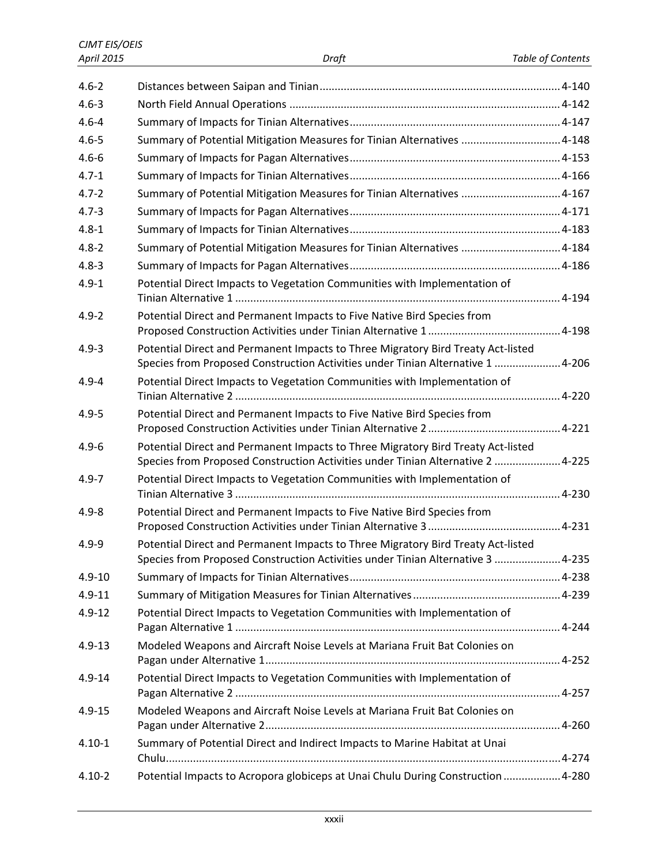| $4.6 - 2$  |                                                                                                                                                                    |  |
|------------|--------------------------------------------------------------------------------------------------------------------------------------------------------------------|--|
| $4.6 - 3$  |                                                                                                                                                                    |  |
| $4.6 - 4$  |                                                                                                                                                                    |  |
| $4.6 - 5$  | Summary of Potential Mitigation Measures for Tinian Alternatives 4-148                                                                                             |  |
| $4.6 - 6$  |                                                                                                                                                                    |  |
| $4.7 - 1$  |                                                                                                                                                                    |  |
| $4.7 - 2$  | Summary of Potential Mitigation Measures for Tinian Alternatives 4-167                                                                                             |  |
| $4.7 - 3$  |                                                                                                                                                                    |  |
| $4.8 - 1$  |                                                                                                                                                                    |  |
| $4.8 - 2$  | Summary of Potential Mitigation Measures for Tinian Alternatives 4-184                                                                                             |  |
| $4.8 - 3$  |                                                                                                                                                                    |  |
| $4.9 - 1$  | Potential Direct Impacts to Vegetation Communities with Implementation of                                                                                          |  |
| $4.9 - 2$  | Potential Direct and Permanent Impacts to Five Native Bird Species from                                                                                            |  |
| $4.9 - 3$  | Potential Direct and Permanent Impacts to Three Migratory Bird Treaty Act-listed                                                                                   |  |
|            | Species from Proposed Construction Activities under Tinian Alternative 1 4-206                                                                                     |  |
| $4.9 - 4$  | Potential Direct Impacts to Vegetation Communities with Implementation of                                                                                          |  |
| $4.9 - 5$  | Potential Direct and Permanent Impacts to Five Native Bird Species from                                                                                            |  |
| $4.9 - 6$  | Potential Direct and Permanent Impacts to Three Migratory Bird Treaty Act-listed<br>Species from Proposed Construction Activities under Tinian Alternative 2 4-225 |  |
| $4.9 - 7$  | Potential Direct Impacts to Vegetation Communities with Implementation of                                                                                          |  |
| $4.9 - 8$  | Potential Direct and Permanent Impacts to Five Native Bird Species from                                                                                            |  |
| $4.9 - 9$  | Potential Direct and Permanent Impacts to Three Migratory Bird Treaty Act-listed                                                                                   |  |
|            | Species from Proposed Construction Activities under Tinian Alternative 3 4-235                                                                                     |  |
| $4.9 - 10$ |                                                                                                                                                                    |  |
| $4.9 - 11$ |                                                                                                                                                                    |  |
| $4.9 - 12$ | Potential Direct Impacts to Vegetation Communities with Implementation of                                                                                          |  |
| $4.9 - 13$ | Modeled Weapons and Aircraft Noise Levels at Mariana Fruit Bat Colonies on                                                                                         |  |
| 4.9-14     | Potential Direct Impacts to Vegetation Communities with Implementation of                                                                                          |  |
| $4.9 - 15$ | Modeled Weapons and Aircraft Noise Levels at Mariana Fruit Bat Colonies on                                                                                         |  |
| $4.10 - 1$ | Summary of Potential Direct and Indirect Impacts to Marine Habitat at Unai                                                                                         |  |
| $4.10 - 2$ | Potential Impacts to Acropora globiceps at Unai Chulu During Construction 4-280                                                                                    |  |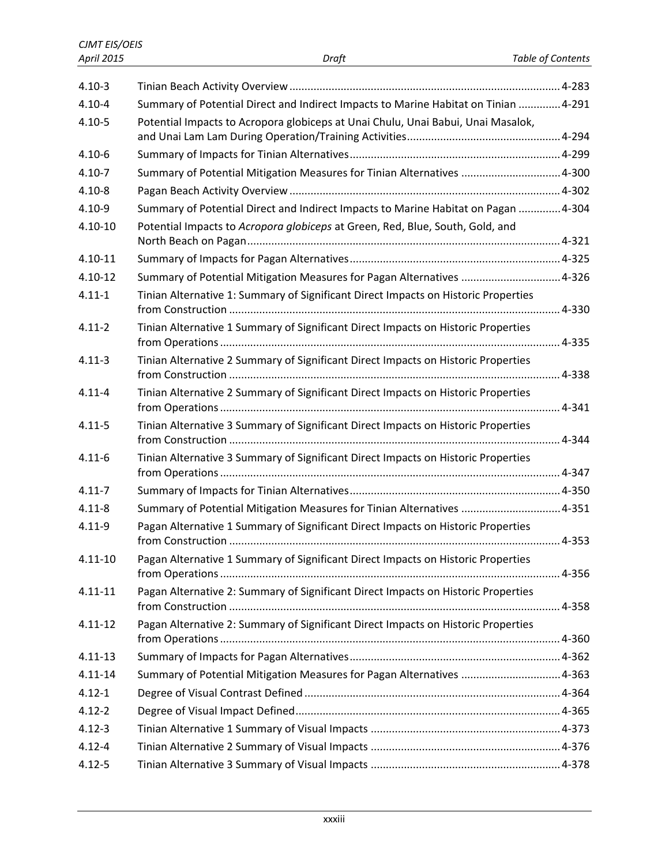| $4.10 - 3$  |                                                                                     |  |
|-------------|-------------------------------------------------------------------------------------|--|
| $4.10 - 4$  | Summary of Potential Direct and Indirect Impacts to Marine Habitat on Tinian  4-291 |  |
| $4.10 - 5$  | Potential Impacts to Acropora globiceps at Unai Chulu, Unai Babui, Unai Masalok,    |  |
| $4.10 - 6$  |                                                                                     |  |
| $4.10 - 7$  | Summary of Potential Mitigation Measures for Tinian Alternatives  4-300             |  |
| $4.10 - 8$  |                                                                                     |  |
| $4.10 - 9$  | Summary of Potential Direct and Indirect Impacts to Marine Habitat on Pagan  4-304  |  |
| $4.10 - 10$ | Potential Impacts to Acropora globiceps at Green, Red, Blue, South, Gold, and       |  |
| $4.10 - 11$ |                                                                                     |  |
| $4.10 - 12$ | Summary of Potential Mitigation Measures for Pagan Alternatives 4-326               |  |
| $4.11 - 1$  | Tinian Alternative 1: Summary of Significant Direct Impacts on Historic Properties  |  |
| $4.11 - 2$  | Tinian Alternative 1 Summary of Significant Direct Impacts on Historic Properties   |  |
| $4.11 - 3$  | Tinian Alternative 2 Summary of Significant Direct Impacts on Historic Properties   |  |
| $4.11 - 4$  | Tinian Alternative 2 Summary of Significant Direct Impacts on Historic Properties   |  |
| $4.11 - 5$  | Tinian Alternative 3 Summary of Significant Direct Impacts on Historic Properties   |  |
| $4.11 - 6$  | Tinian Alternative 3 Summary of Significant Direct Impacts on Historic Properties   |  |
| $4.11 - 7$  |                                                                                     |  |
| $4.11 - 8$  | Summary of Potential Mitigation Measures for Tinian Alternatives  4-351             |  |
| $4.11 - 9$  | Pagan Alternative 1 Summary of Significant Direct Impacts on Historic Properties    |  |
| $4.11 - 10$ | Pagan Alternative 1 Summary of Significant Direct Impacts on Historic Properties    |  |
| 4.11-11     | Pagan Alternative 2: Summary of Significant Direct Impacts on Historic Properties   |  |
| $4.11 - 12$ | Pagan Alternative 2: Summary of Significant Direct Impacts on Historic Properties   |  |
| 4.11-13     |                                                                                     |  |
| 4.11-14     | Summary of Potential Mitigation Measures for Pagan Alternatives 4-363               |  |
| $4.12 - 1$  |                                                                                     |  |
| $4.12 - 2$  |                                                                                     |  |
| $4.12 - 3$  |                                                                                     |  |
| $4.12 - 4$  |                                                                                     |  |
| $4.12 - 5$  |                                                                                     |  |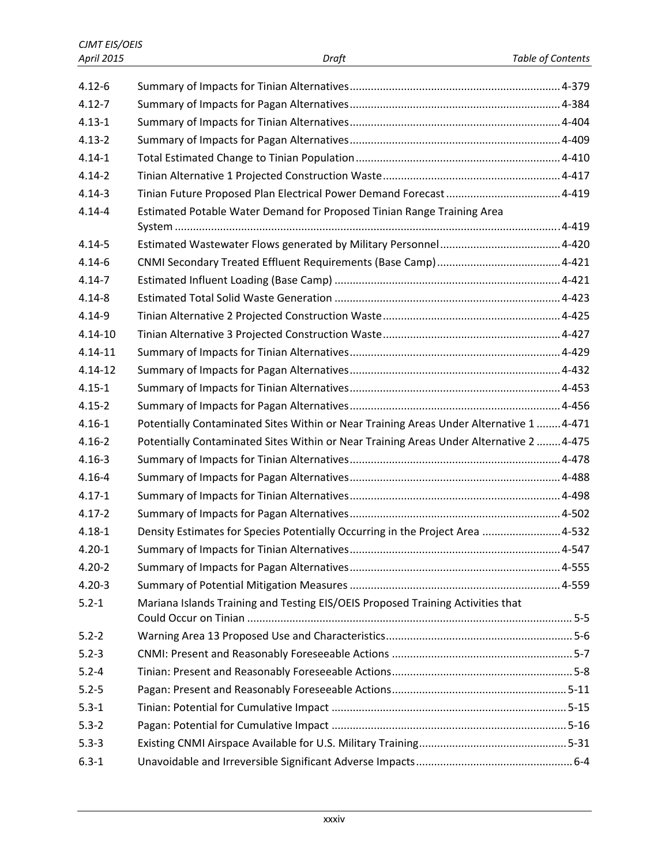| $4.12 - 6$  |                                                                                         |  |
|-------------|-----------------------------------------------------------------------------------------|--|
| $4.12 - 7$  |                                                                                         |  |
| $4.13 - 1$  |                                                                                         |  |
| $4.13 - 2$  |                                                                                         |  |
| $4.14 - 1$  |                                                                                         |  |
| $4.14 - 2$  |                                                                                         |  |
| $4.14 - 3$  |                                                                                         |  |
| $4.14 - 4$  | Estimated Potable Water Demand for Proposed Tinian Range Training Area                  |  |
| $4.14 - 5$  |                                                                                         |  |
| $4.14 - 6$  |                                                                                         |  |
| $4.14 - 7$  |                                                                                         |  |
| $4.14 - 8$  |                                                                                         |  |
| $4.14 - 9$  |                                                                                         |  |
| $4.14 - 10$ |                                                                                         |  |
| 4.14-11     |                                                                                         |  |
| $4.14 - 12$ |                                                                                         |  |
| $4.15 - 1$  |                                                                                         |  |
| $4.15 - 2$  |                                                                                         |  |
| $4.16 - 1$  | Potentially Contaminated Sites Within or Near Training Areas Under Alternative 1  4-471 |  |
| $4.16 - 2$  | Potentially Contaminated Sites Within or Near Training Areas Under Alternative 2  4-475 |  |
| $4.16 - 3$  |                                                                                         |  |
| $4.16 - 4$  |                                                                                         |  |
| $4.17 - 1$  |                                                                                         |  |
| $4.17 - 2$  |                                                                                         |  |
| $4.18 - 1$  | Density Estimates for Species Potentially Occurring in the Project Area  4-532          |  |
| $4.20 - 1$  |                                                                                         |  |
| $4.20 - 2$  |                                                                                         |  |
| $4.20 - 3$  |                                                                                         |  |
| $5.2 - 1$   | Mariana Islands Training and Testing EIS/OEIS Proposed Training Activities that         |  |
| $5.2 - 2$   |                                                                                         |  |
| $5.2 - 3$   |                                                                                         |  |
| $5.2 - 4$   |                                                                                         |  |
| $5.2 - 5$   |                                                                                         |  |
| $5.3 - 1$   |                                                                                         |  |
| $5.3 - 2$   |                                                                                         |  |
| $5.3 - 3$   |                                                                                         |  |
| $6.3 - 1$   |                                                                                         |  |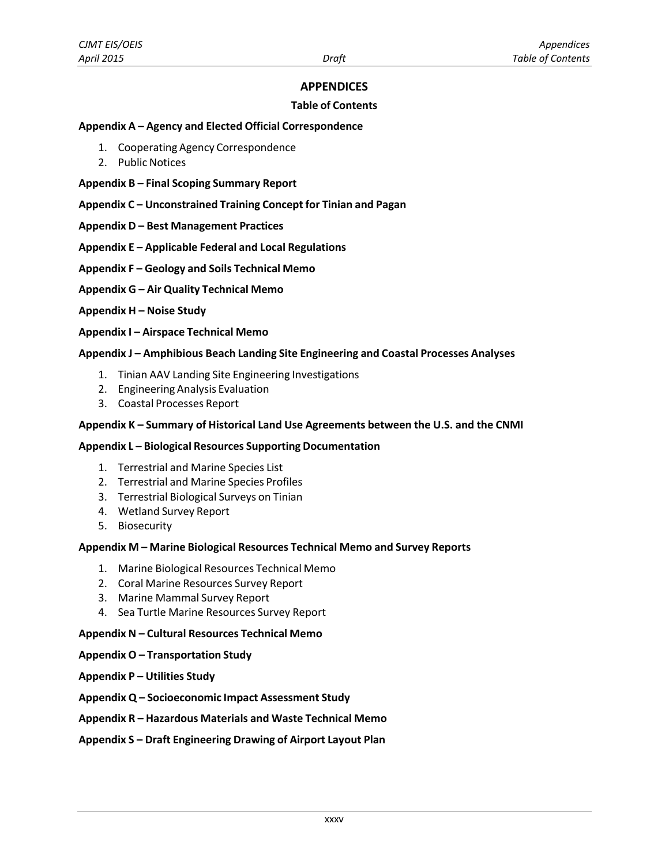## **APPENDICES**

#### **Table of Contents**

#### **Appendix A – Agency and Elected Official Correspondence**

- 1. Cooperating Agency Correspondence
- 2. Public Notices
- **Appendix B – Final Scoping Summary Report**
- **Appendix C – Unconstrained Training Concept for Tinian and Pagan**
- **Appendix D – Best Management Practices**
- **Appendix E – Applicable Federal and Local Regulations**
- **Appendix F – Geology and Soils Technical Memo**
- **Appendix G – Air Quality Technical Memo**
- **Appendix H – Noise Study**
- **Appendix I – Airspace Technical Memo**

#### **Appendix J – Amphibious Beach Landing Site Engineering and Coastal Processes Analyses**

- 1. Tinian AAV Landing Site Engineering Investigations
- 2. Engineering Analysis Evaluation
- 3. Coastal Processes Report

#### **Appendix K – Summary of Historical Land Use Agreements between the U.S. and the CNMI**

#### **Appendix L – Biological Resources Supporting Documentation**

- 1. Terrestrial and Marine Species List
- 2. Terrestrial and Marine Species Profiles
- 3. Terrestrial Biological Surveys on Tinian
- 4. Wetland Survey Report
- 5. Biosecurity

#### **Appendix M – Marine Biological Resources Technical Memo and Survey Reports**

- 1. Marine Biological Resources Technical Memo
- 2. Coral Marine Resources Survey Report
- 3. Marine Mammal Survey Report
- 4. Sea Turtle Marine Resources Survey Report

#### **Appendix N – Cultural Resources Technical Memo**

#### **Appendix O – Transportation Study**

**Appendix P – Utilities Study**

#### **Appendix Q – Socioeconomic Impact Assessment Study**

#### **Appendix R – Hazardous Materials and Waste Technical Memo**

#### **Appendix S – Draft Engineering Drawing of Airport Layout Plan**